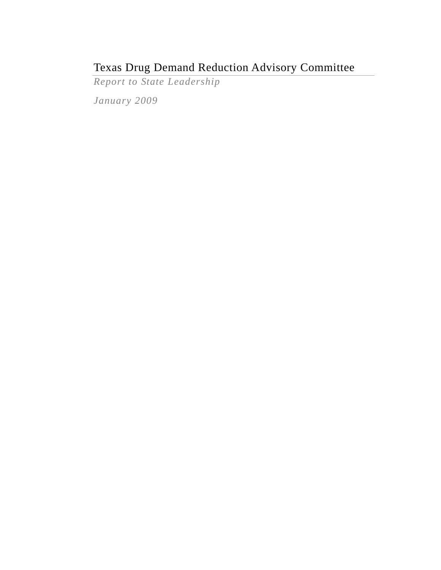# Texas Drug Demand Reduction Advisory Committee

*Report to State Leadership* 

*January 2009*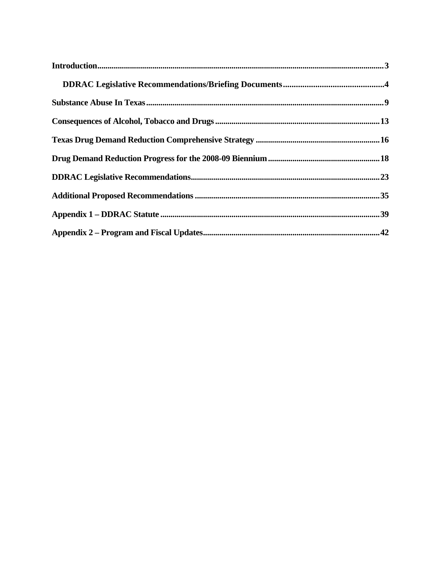| In traditional solution 33 |  |
|----------------------------|--|
|                            |  |
|                            |  |
|                            |  |
|                            |  |
|                            |  |
|                            |  |
|                            |  |
|                            |  |
|                            |  |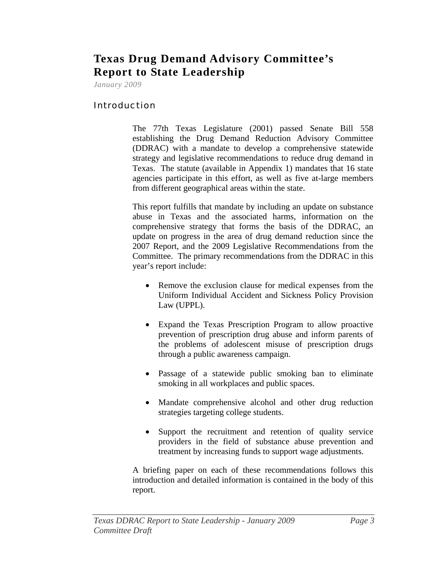# <span id="page-2-0"></span>**Texas Drug Demand Advisory Committee's Report to State Leadership**

*January 2009* 

# Introduction

The 77th Texas Legislature (2001) passed Senate Bill 558 establishing the Drug Demand Reduction Advisory Committee (DDRAC) with a mandate to develop a comprehensive statewide strategy and legislative recommendations to reduce drug demand in Texas. The statute (available in Appendix 1) mandates that 16 state agencies participate in this effort, as well as five at-large members from different geographical areas within the state.

This report fulfills that mandate by including an update on substance abuse in Texas and the associated harms, information on the comprehensive strategy that forms the basis of the DDRAC, an update on progress in the area of drug demand reduction since the 2007 Report, and the 2009 Legislative Recommendations from the Committee. The primary recommendations from the DDRAC in this year's report include:

- Remove the exclusion clause for medical expenses from the Uniform Individual Accident and Sickness Policy Provision Law (UPPL).
- Expand the Texas Prescription Program to allow proactive prevention of prescription drug abuse and inform parents of the problems of adolescent misuse of prescription drugs through a public awareness campaign.
- Passage of a statewide public smoking ban to eliminate smoking in all workplaces and public spaces.
- Mandate comprehensive alcohol and other drug reduction strategies targeting college students.
- Support the recruitment and retention of quality service providers in the field of substance abuse prevention and treatment by increasing funds to support wage adjustments.

A briefing paper on each of these recommendations follows this introduction and detailed information is contained in the body of this report.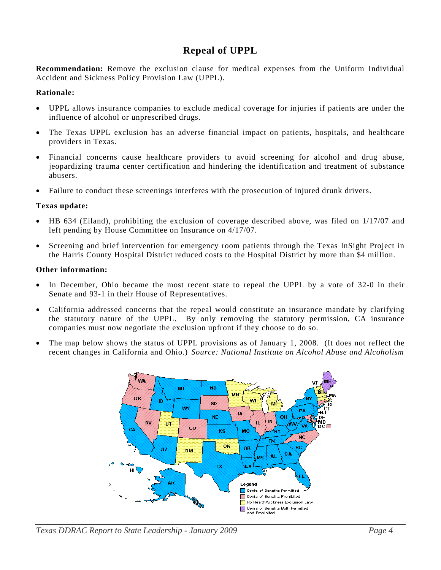# **Repeal of UPPL**

**Recommendation:** Remove the exclusion clause for medical expenses from the Uniform Individual Accident and Sickness Policy Provision Law (UPPL).

#### **Rationale:**

- UPPL allows insurance companies to exclude medical coverage for injuries if patients are under the influence of alcohol or unprescribed drugs.
- The Texas UPPL exclusion has an adverse financial impact on patients, hospitals, and healthcare providers in Texas.
- Financial concerns cause healthcare providers to avoid screening for alcohol and drug abuse, jeopardizing trauma center certification and hindering the identification and treatment of substance abusers.
- Failure to conduct these screenings interferes with the prosecution of injured drunk drivers.

#### **Texas update:**

- HB 634 (Eiland), prohibiting the exclusion of coverage described above, was filed on 1/17/07 and left pending by House Committee on Insurance on 4/17/07.
- Screening and brief intervention for emergency room patients through the Texas InSight Project in the Harris County Hospital District reduced costs to the Hospital District by more than \$4 million.

#### **Other information:**

- In December, Ohio became the most recent state to repeal the UPPL by a vote of 32-0 in their Senate and 93-1 in their House of Representatives.
- California addressed concerns that the repeal would constitute an insurance mandate by clarifying the statutory nature of the UPPL. By only removing the statutory permission, CA insurance companies must now negotiate the exclusion upfront if they choose to do so.
- The map below shows the status of UPPL provisions as of January 1, 2008. (It does not reflect the recent changes in California and Ohio.) *Source: National Institute on Alcohol Abuse and Alcoholism*

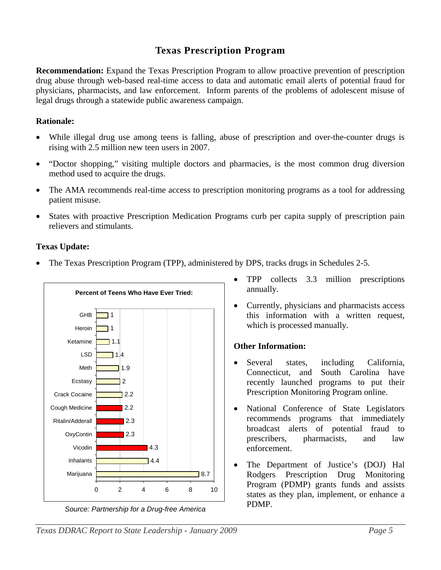# **Texas Prescription Program**

<span id="page-4-0"></span>**Recommendation:** Expand the Texas Prescription Program to allow proactive prevention of prescription drug abuse through web-based real-time access to data and automatic email alerts of potential fraud for physicians, pharmacists, and law enforcement. Inform parents of the problems of adolescent misuse of legal drugs through a statewide public awareness campaign.

# **Rationale:**

- While illegal drug use among teens is falling, abuse of prescription and over-the-counter drugs is rising with 2.5 million new teen users in 2007.
- "Doctor shopping," visiting multiple doctors and pharmacies, is the most common drug diversion method used to acquire the drugs.
- The AMA recommends real-time access to prescription monitoring programs as a tool for addressing patient misuse.
- States with proactive Prescription Medication Programs curb per capita supply of prescription pain relievers and stimulants.

# **Texas Update:**

• The Texas Prescription Program (TPP), administered by DPS, tracks drugs in Schedules 2-5.



*Source: Partnership for a Drug-free America* 

- TPP collects 3.3 million prescriptions annually.
- Currently, physicians and pharmacists access this information with a written request, which is processed manually.

# **Other Information:**

- Several states, including California, Connecticut, and South Carolina have recently launched programs to put their Prescription Monitoring Program online.
- National Conference of State Legislators recommends programs that immediately broadcast alerts of potential fraud to prescribers, pharmacists, and law enforcement.
- The Department of Justice's (DOJ) Hal Rodgers Prescription Drug Monitoring Program (PDMP) grants funds and assists states as they plan, implement, or enhance a PDMP.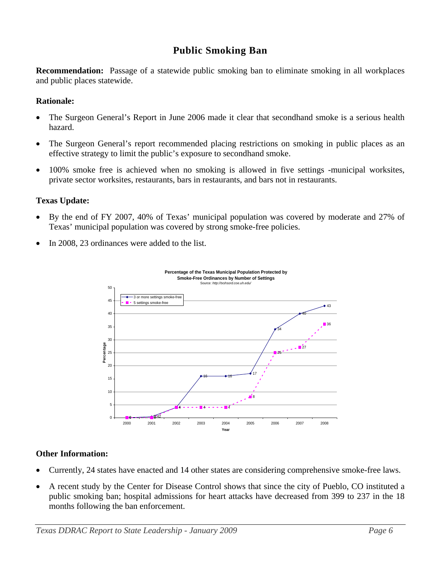# **Public Smoking Ban**

**Recommendation:** Passage of a statewide public smoking ban to eliminate smoking in all workplaces and public places statewide.

#### **Rationale:**

- The Surgeon General's Report in June 2006 made it clear that secondhand smoke is a serious health hazard.
- The Surgeon General's report recommended placing restrictions on smoking in public places as an effective strategy to limit the public's exposure to secondhand smoke.
- 100% smoke free is achieved when no smoking is allowed in five settings -municipal worksites, private sector worksites, restaurants, bars in restaurants, and bars not in restaurants.

# **Texas Update:**

- By the end of FY 2007, 40% of Texas' municipal population was covered by moderate and 27% of Texas' municipal population was covered by strong smoke-free policies.
- In 2008, 23 ordinances were added to the list.



#### **Other Information:**

- Currently, 24 states have enacted and 14 other states are considering comprehensive smoke-free laws.
- A recent study by the Center for Disease Control shows that since the city of Pueblo, CO instituted a public smoking ban; hospital admissions for heart attacks have decreased from 399 to 237 in the 18 months following the ban enforcement.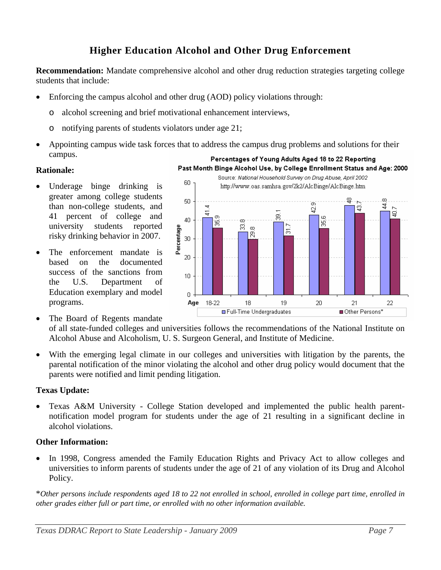# **Higher Education Alcohol and Other Drug Enforcement**

**Recommendation:** Mandate comprehensive alcohol and other drug reduction strategies targeting college students that include:

- Enforcing the campus alcohol and other drug (AOD) policy violations through:
	- o alcohol screening and brief motivational enhancement interviews,
	- o notifying parents of students violators under age 21;
- Appointing campus wide task forces that to address the campus drug problems and solutions for their campus. Percentages of Young Adults Aged 18 to 22 Reporting

#### **Rationale:**

- Underage binge drinking is greater among college students than non-college students, and 41 percent of college and university students reported risky drinking behavior in 2007.
- The enforcement mandate is based on the documented success of the sanctions from the U.S. Department of Education exemplary and model programs.



The Board of Regents mandate •

of all state-funded colleges and universities follows the recommendations of the National Institute on Alcohol Abuse and Alcoholism, U. S. Surgeon Gen eral, and Institute of Medicine.

• With the emerging legal climate in our colleges and universities with litigation by the parents, the parental notification of the minor violating the alcohol and other drug policy would document that the parents were notified and limit pending litigation.

#### **Texas Update:**

• Texas A&M University - College Station developed and implemented the public health parentnotification model program for students under the age of 21 resulting in a significant decline in alcohol violations.

#### **Other Information:**

• In 1998, Congress amended the Family Education Rights and Privacy Act to allow colleges and universities to inform parents of students under the age of 21 of any violation of its Drug and Alcohol Policy.

\**Other persons include respondents aged 18 to 22 not enrolled in school, enrolled in college part time, enrolled in other grades either full or part time, or enrolled with no other information available.*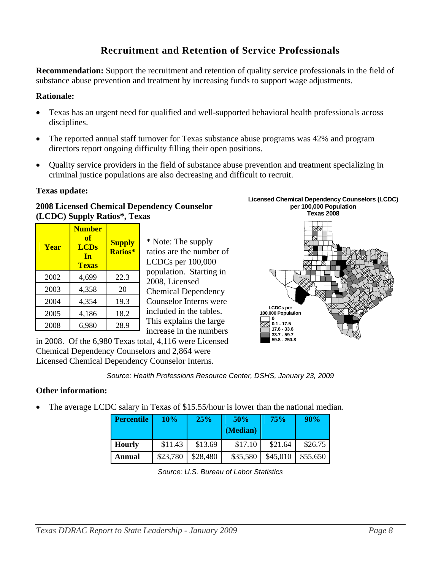# **Recruitment and Retention of Service Professionals**

**Recommendation:** Support the recruitment and retention of quality service professionals in the field of substance abuse prevention and treatment by increasing funds to support wage adjustments.

#### **Rationale:**

- Texas has an urgent need for qualified and well-supported behavioral health professionals across disciplines.
- The reported annual staff turnover for Texas substance abuse programs was 42% and program directors report ongoing difficulty filling their open positions.
- Quality service providers in the field of substance abuse prevention and treatment specializing in criminal justice populations are also decreasing and difficult to recruit.

#### **Texas update:**

#### **2008 Licensed Chemical Dependency Counselor (LCDC) Supply Ratios\*, Texas**

| <b>Year</b> | <b>Number</b><br>of<br><b>LCDs</b><br><b>In</b><br><b>Texas</b> | <b>Supply</b><br><b>Ratios*</b> |  |
|-------------|-----------------------------------------------------------------|---------------------------------|--|
| 2002        | 4,699                                                           | 22.3                            |  |
| 2003        | 4,358                                                           | 20                              |  |
| 2004        | 4,354                                                           | 19.3                            |  |
| 2005        | 4,186                                                           | 18.2                            |  |
| 2008        | 6,980                                                           | 28.9                            |  |

\* Note: The supply ratios are the number of LCDCs per 100,000 population. Starting in 2008, Licensed Chemical Dependency Counselor Interns were included in the tables. This explains the large increase in the numbers

in 2008. Of the 6,980 Texas total, 4,116 were Licensed Chemical Dependency Counselors and 2,864 were Licensed Chemical Dependency Counselor Interns.



**33.7 - 59.7 59.8 - 250.8**



#### **Other information:**

The average LCDC salary in Texas of \$15.55/hour is lower than the national median.

| <b>Percentile</b> | 10%      | 25%      | 50%      | 75%      | 90%      |  |
|-------------------|----------|----------|----------|----------|----------|--|
|                   |          |          | (Median) |          |          |  |
| <b>Hourly</b>     | \$11.43  | \$13.69  | \$17.10  | \$21.64  | \$26.75  |  |
| Annual            | \$23,780 | \$28,480 | \$35,580 | \$45,010 | \$55,650 |  |

*Source: U.S. Bureau of Labor Statistics*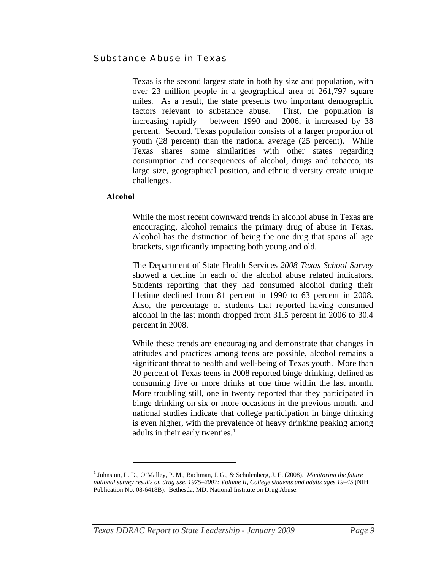# <span id="page-8-0"></span>Substance Abuse in Texas

Texas is the second largest state in both by size and population, with over 23 million people in a geographical area of 261,797 square miles. As a result, the state presents two important demographic factors relevant to substance abuse. First, the population is increasing rapidly – between 1990 and 2006, it increased by 38 percent. Second, Texas population consists of a larger proportion of youth (28 percent) than the national average (25 percent). While Texas shares some similarities with other states regarding consumption and consequences of alcohol, drugs and tobacco, its large size, geographical position, and ethnic diversity create unique challenges.

#### **Alcohol**

 $\overline{a}$ 

While the most recent downward trends in alcohol abuse in Texas are encouraging, alcohol remains the primary drug of abuse in Texas. Alcohol has the distinction of being the one drug that spans all age brackets, significantly impacting both young and old.

The Department of State Health Services *2008 Texas School Survey* showed a decline in each of the alcohol abuse related indicators. Students reporting that they had consumed alcohol during their lifetime declined from 81 percent in 1990 to 63 percent in 2008. Also, the percentage of students that reported having consumed alcohol in the last month dropped from 31.5 percent in 2006 to 30.4 percent in 2008.

While these trends are encouraging and demonstrate that changes in attitudes and practices among teens are possible, alcohol remains a significant threat to health and well-being of Texas youth. More than 20 percent of Texas teens in 2008 reported binge drinking, defined as consuming five or more drinks at one time within the last month. More troubling still, one in twenty reported that they participated in binge drinking on six or more occasions in the previous month, and national studies indicate that college participation in binge drinking is even higher, with the prevalence of heavy drinking peaking among adults in their early twenties.<sup>[1](#page-8-0)</sup>

<sup>&</sup>lt;sup>1</sup> Johnston, L. D., O'Malley, P. M., Bachman, J. G., & Schulenberg, J. E. (2008). *Monitoring the future national survey results on drug use, 1975–2007: Volume II, College students and adults ages 19–45* (NIH Publication No. 08-6418B). Bethesda, MD: National Institute on Drug Abuse.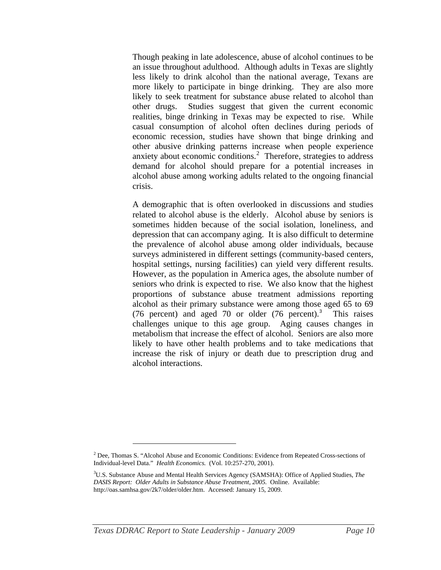<span id="page-9-0"></span>Though peaking in late adolescence, abuse of alcohol continues to be an issue throughout adulthood. Although adults in Texas are slightly less likely to drink alcohol than the national average, Texans are more likely to participate in binge drinking. They are also more likely to seek treatment for substance abuse related to alcohol than other drugs. Studies suggest that given the current economic realities, binge drinking in Texas may be expected to rise. While casual consumption of alcohol often declines during periods of economic recession, studies have shown that binge drinking and other abusive drinking patterns increase when people experience anxiety about economic conditions.<sup>[2](#page-9-0)</sup> Therefore, strategies to address demand for alcohol should prepare for a potential increases in alcohol abuse among working adults related to the ongoing financial crisis.

A demographic that is often overlooked in discussions and studies related to alcohol abuse is the elderly. Alcohol abuse by seniors is sometimes hidden because of the social isolation, loneliness, and depression that can accompany aging. It is also difficult to determine the prevalence of alcohol abuse among older individuals, because surveys administered in different settings (community-based centers, hospital settings, nursing facilities) can yield very different results. However, as the population in America ages, the absolute number of seniors who drink is expected to rise. We also know that the highest proportions of substance abuse treatment admissions reporting alcohol as their primary substance were among those aged 65 to 69 (76 percent) and aged 70 or older  $(76$  percent).<sup>[3](#page-9-0)</sup> This raises challenges unique to this age group. Aging causes changes in metabolism that increase the effect of alcohol. Seniors are also more likely to have other health problems and to take medications that increase the risk of injury or death due to prescription drug and alcohol interactions.

<sup>&</sup>lt;sup>2</sup> Dee, Thomas S. "Alcohol Abuse and Economic Conditions: Evidence from Repeated Cross-sections of Individual-level Data." *Health Economics.* (Vol. 10:257-270, 2001).

<sup>3</sup> U.S. Substance Abuse and Mental Health Services Agency (SAMSHA): Office of Applied Studies, *The DASIS Report: Older Adults in Substance Abuse Treatment, 2005.* Online. Available: http://oas.samhsa.gov/2k7/older/older.htm. Accessed: January 15, 2009.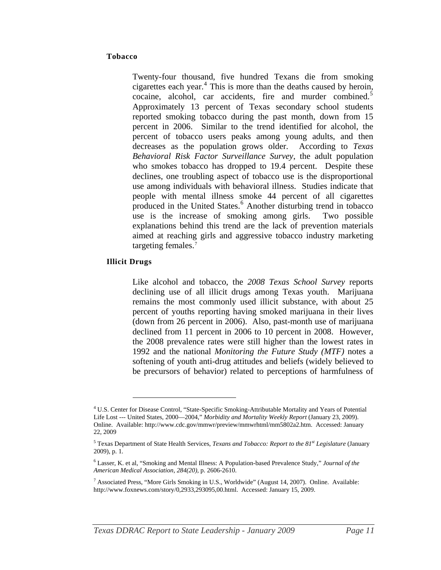#### <span id="page-10-0"></span>**Tobacco**

Twenty-four thousand, five hundred Texans die from smoking cigarettes each year. $4$  This is more than the deaths caused by heroin, cocaine, alcohol, car accidents, fire and murder combined.<sup>[5](#page-10-0)</sup> Approximately 13 percent of Texas secondary school students reported smoking tobacco during the past month, down from 15 percent in 2006. Similar to the trend identified for alcohol, the percent of tobacco users peaks among young adults, and then decreases as the population grows older. According to *Texas Behavioral Risk Factor Surveillance Survey*, the adult population who smokes tobacco has dropped to 19.4 percent. Despite these declines, one troubling aspect of tobacco use is the disproportional use among individuals with behavioral illness. Studies indicate that people with mental illness smoke 44 percent of all cigarettes produced in the United States.<sup>[6](#page-10-0)</sup> Another disturbing trend in tobacco use is the increase of smoking among girls. Two possible explanations behind this trend are the lack of prevention materials aimed at reaching girls and aggressive tobacco industry marketing targeting females.<sup>[7](#page-10-0)</sup>

#### **Illicit Drugs**

 $\overline{a}$ 

Like alcohol and tobacco, the *2008 Texas School Survey* reports declining use of all illicit drugs among Texas youth. Marijuana remains the most commonly used illicit substance, with about 25 percent of youths reporting having smoked marijuana in their lives (down from 26 percent in 2006). Also, past-month use of marijuana declined from 11 percent in 2006 to 10 percent in 2008. However, the 2008 prevalence rates were still higher than the lowest rates in 1992 and the national *Monitoring the Future Study (MTF)* notes a softening of youth anti-drug attitudes and beliefs (widely believed to be precursors of behavior) related to perceptions of harmfulness of

<sup>4</sup> U.S. Center for Disease Control, "State-Specific Smoking-Attributable Mortality and Years of Potential Life Lost --- United States, 2000—2004," *Morbidity and Mortality Weekly Report* (January 23, 2009). Online. Available: http://www.cdc.gov/mmwr/preview/mmwrhtml/mm5802a2.htm. Accessed: January 22, 2009

<sup>&</sup>lt;sup>5</sup> Texas Department of State Health Services, *Texans and Tobacco: Report to the 81<sup>st</sup> Legislature* (January 2009), p. 1.

<sup>6</sup> Lasser, K. et al, "Smoking and Mental Illness: A Population-based Prevalence Study," *Journal of the American Medical Association, 284(20),* p. 2606-2610.

<sup>&</sup>lt;sup>7</sup> Associated Press, "More Girls Smoking in U.S., Worldwide" (August 14, 2007). Online. Available: http://www.foxnews.com/story/0,2933,293095,00.html. Accessed: January 15, 2009.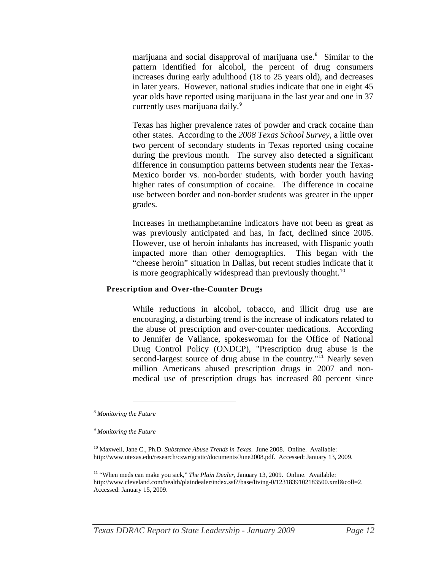<span id="page-11-0"></span>marijuana and social disapproval of marijuana use.<sup>[8](#page-11-0)</sup> Similar to the pattern identified for alcohol, the percent of drug consumers increases during early adulthood (18 to 25 years old), and decreases in later years. However, national studies indicate that one in eight 45 year olds have reported using marijuana in the last year and one in 37 currently uses marijuana daily.<sup>[9](#page-11-0)</sup>

Texas has higher prevalence rates of powder and crack cocaine than other states. According to the *2008 Texas School Survey*, a little over two percent of secondary students in Texas reported using cocaine during the previous month. The survey also detected a significant difference in consumption patterns between students near the Texas-Mexico border vs. non-border students, with border youth having higher rates of consumption of cocaine. The difference in cocaine use between border and non-border students was greater in the upper grades.

Increases in methamphetamine indicators have not been as great as was previously anticipated and has, in fact, declined since 2005. However, use of heroin inhalants has increased, with Hispanic youth impacted more than other demographics. This began with the "cheese heroin" situation in Dallas, but recent studies indicate that it is more geographically widespread than previously thought.<sup>[10](#page-11-0)</sup>

#### **Prescription and Over-the-Counter Drugs**

While reductions in alcohol, tobacco, and illicit drug use are encouraging, a disturbing trend is the increase of indicators related to the abuse of prescription and over-counter medications. According to Jennifer de Vallance, spokeswoman for the Office of National Drug Control Policy (ONDCP), "Prescription drug abuse is the second-largest source of drug abuse in the country."<sup>[11](#page-11-0)</sup> Nearly seven million Americans abused prescription drugs in 2007 and nonmedical use of prescription drugs has increased 80 percent since

<sup>8</sup> *Monitoring the Future*

<sup>9</sup> *Monitoring the Future*

<sup>&</sup>lt;sup>10</sup> Maxwell, Jane C., Ph.D. *Substance Abuse Trends in Texas.* June 2008. Online. Available: http://www.utexas.edu/research/cswr/gcattc/documents/June2008.pdf. Accessed: January 13, 2009.

<sup>&</sup>lt;sup>11</sup> "When meds can make you sick," *The Plain Dealer*, January 13, 2009. Online. Available: http://www.cleveland.com/health/plaindealer/index.ssf?/base/living-0/1231839102183500.xml&coll=2. Accessed: January 15, 2009.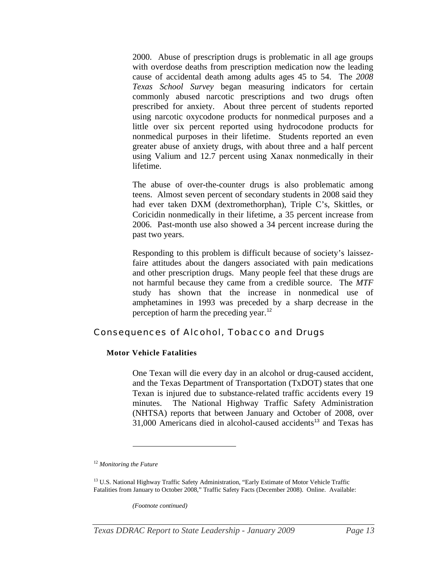<span id="page-12-0"></span>2000. Abuse of prescription drugs is problematic in all age groups with overdose deaths from prescription medication now the leading cause of accidental death among adults ages 45 to 54. The *2008 Texas School Survey* began measuring indicators for certain commonly abused narcotic prescriptions and two drugs often prescribed for anxiety. About three percent of students reported using narcotic oxycodone products for nonmedical purposes and a little over six percent reported using hydrocodone products for nonmedical purposes in their lifetime. Students reported an even greater abuse of anxiety drugs, with about three and a half percent using Valium and 12.7 percent using Xanax nonmedically in their lifetime.

The abuse of over-the-counter drugs is also problematic among teens. Almost seven percent of secondary students in 2008 said they had ever taken DXM (dextromethorphan), Triple C's, Skittles, or Coricidin nonmedically in their lifetime, a 35 percent increase from 2006. Past-month use also showed a 34 percent increase during the past two years.

Responding to this problem is difficult because of society's laissezfaire attitudes about the dangers associated with pain medications and other prescription drugs. Many people feel that these drugs are not harmful because they came from a credible source. The *MTF*  study has shown that the increase in nonmedical use of amphetamines in 1993 was preceded by a sharp decrease in the perception of harm the preceding year.<sup>[12](#page-12-0)</sup>

# Consequences of Alcohol, Tobacco and Drugs

#### **Motor Vehicle Fatalities**

One Texan will die every day in an alcohol or drug-caused accident, and the Texas Department of Transportation (TxDOT) states that one Texan is injured due to substance-related traffic accidents every 19 minutes. The National Highway Traffic Safety Administration (NHTSA) reports that between January and October of 2008, over  $31,000$  Americans died in alcohol-caused accidents<sup>[13](#page-12-0)</sup> and Texas has

 $\overline{a}$ 

*(Footnote continued)* 

<sup>12</sup> *Monitoring the Future*

<sup>&</sup>lt;sup>13</sup> U.S. National Highway Traffic Safety Administration, "Early Estimate of Motor Vehicle Traffic Fatalities from January to October 2008," Traffic Safety Facts (December 2008). Online. Available: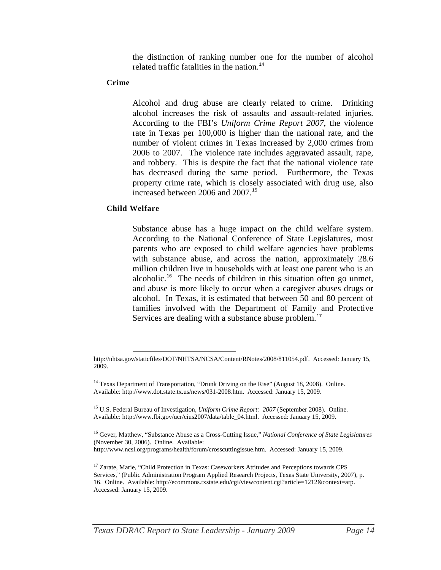the distinction of ranking number one for the number of alcohol related traffic fatalities in the nation.<sup>[14](#page-13-0)</sup>

#### <span id="page-13-0"></span>**Crime**

Alcohol and drug abuse are clearly related to crime. Drinking alcohol increases the risk of assaults and assault-related injuries. According to the FBI's *Uniform Crime Report 2007*, the violence rate in Texas per 100,000 is higher than the national rate*,* and the number of violent crimes in Texas increased by 2,000 crimes from 2006 to 2007. The violence rate includes aggravated assault, rape, and robbery. This is despite the fact that the national violence rate has decreased during the same period. Furthermore, the Texas property crime rate, which is closely associated with drug use, also increased between 2006 and 2007.<sup>[15](#page-13-0)</sup>

#### **Child Welfare**

Substance abuse has a huge impact on the child welfare system. According to the National Conference of State Legislatures, most parents who are exposed to child welfare agencies have problems with substance abuse, and across the nation, approximately 28.6 million children live in households with at least one parent who is an alcoholic.<sup>[16](#page-13-0)</sup> The needs of children in this situation often go unmet, and abuse is more likely to occur when a caregiver abuses drugs or alcohol. In Texas, it is estimated that between 50 and 80 percent of families involved with the Department of Family and Protective Services are dealing with a substance abuse problem.<sup>[17](#page-13-0)</sup>

http://nhtsa.gov/staticfiles/DOT/NHTSA/NCSA/Content/RNotes/2008/811054.pdf. Accessed: January 15, 2009.

<sup>&</sup>lt;sup>14</sup> Texas Department of Transportation, "Drunk Driving on the Rise" (August 18, 2008). Online. Available: http://www.dot.state.tx.us/news/031-2008.htm. Accessed: January 15, 2009.

<sup>15</sup> U.S. Federal Bureau of Investigation, *Uniform Crime Report: 2007* (September 2008). Online. Available: http://www.fbi.gov/ucr/cius2007/data/table\_04.html. Accessed: January 15, 2009.

<sup>16</sup> Gever, Matthew, "Substance Abuse as a Cross-Cutting Issue," *National Conference of State Legislatures* (November 30, 2006). Online. Available:

http://www.ncsl.org/programs/health/forum/crosscuttingissue.htm. Accessed: January 15, 2009.

<sup>&</sup>lt;sup>17</sup> Zarate, Marie, "Child Protection in Texas: Caseworkers Attitudes and Perceptions towards CPS Services," (Public Administration Program Applied Research Projects, Texas State University, 2007), p. 16. Online. Available: http://ecommons.txstate.edu/cgi/viewcontent.cgi?article=1212&context=arp. Accessed: January 15, 2009.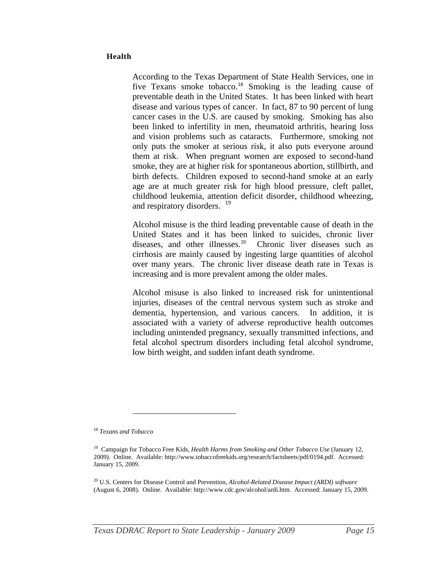#### <span id="page-14-0"></span>**Health**

According to the Texas Department of State Health Services, one in five Texans smoke tobacco.<sup>[18](#page-14-0)</sup> Smoking is the leading cause of preventable death in the United States. It has been linked with heart disease and various types of cancer. In fact, 87 to 90 percent of lung cancer cases in the U.S. are caused by smoking. Smoking has also been linked to infertility in men, rheumatoid arthritis, hearing loss and vision problems such as cataracts. Furthermore, smoking not only puts the smoker at serious risk, it also puts everyone around them at risk. When pregnant women are exposed to second-hand smoke, they are at higher risk for spontaneous abortion, stillbirth, and birth defects. Children exposed to second-hand smoke at an early age are at much greater risk for high blood pressure, cleft pallet, childhood leukemia, attention deficit disorder, childhood wheezing, and respiratory disorders. <sup>[19](#page-14-0)</sup>

Alcohol misuse is the third leading preventable cause of death in the United States and it has been linked to suicides, chronic liver diseases, and other illnesses.<sup>[20](#page-14-0)</sup> Chronic liver diseases such as cirrhosis are mainly caused by ingesting large quantities of alcohol over many years. The chronic liver disease death rate in Texas is increasing and is more prevalent among the older males.

Alcohol misuse is also linked to increased risk for unintentional injuries, diseases of the central nervous system such as stroke and dementia, hypertension, and various cancers. In addition, it is associated with a variety of adverse reproductive health outcomes including unintended pregnancy, sexually transmitted infections, and fetal alcohol spectrum disorders including fetal alcohol syndrome, low birth weight, and sudden infant death syndrome.

<sup>18</sup> *Texans and Tobacco*

<sup>19</sup> Campaign for Tobacco Free Kids, *Health Harms from Smoking and Other Tobacco Use* (January 12, 2009). Online. Available: http://www.tobaccofreekids.org/research/factsheets/pdf/0194.pdf. Accessed: January 15, 2009.

<sup>20</sup> U.S. Centers for Disease Control and Prevention, *Alcohol-Related Disease Impact (ARDI) software* (August 6, 2008). Online. Available: http://www.cdc.gov/alcohol/ardi.htm. Accessed: January 15, 2009.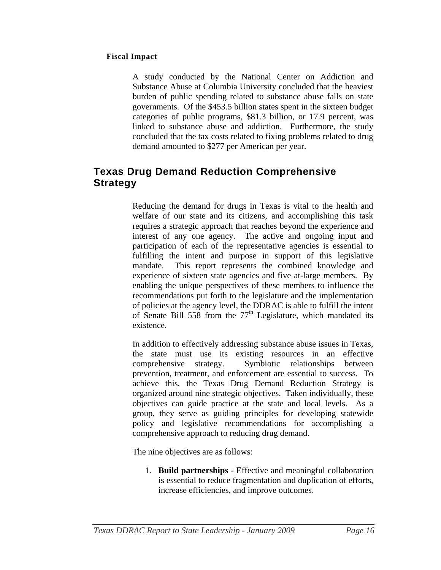#### <span id="page-15-0"></span>**Fiscal Impact**

A study conducted by the National Center on Addiction and Substance Abuse at Columbia University concluded that the heaviest burden of public spending related to substance abuse falls on state governments. Of the \$453.5 billion states spent in the sixteen budget categories of public programs, \$81.3 billion, or 17.9 percent, was linked to substance abuse and addiction. Furthermore, the study concluded that the tax costs related to fixing problems related to drug demand amounted to \$277 per American per year.

# **Texas Drug Demand Reduction Comprehensive Strategy**

Reducing the demand for drugs in Texas is vital to the health and welfare of our state and its citizens, and accomplishing this task requires a strategic approach that reaches beyond the experience and interest of any one agency. The active and ongoing input and participation of each of the representative agencies is essential to fulfilling the intent and purpose in support of this legislative mandate. This report represents the combined knowledge and experience of sixteen state agencies and five at-large members. By enabling the unique perspectives of these members to influence the recommendations put forth to the legislature and the implementation of policies at the agency level, the DDRAC is able to fulfill the intent of Senate Bill 558 from the  $77<sup>th</sup>$  Legislature, which mandated its existence.

In addition to effectively addressing substance abuse issues in Texas, the state must use its existing resources in an effective comprehensive strategy. Symbiotic relationships between prevention, treatment, and enforcement are essential to success. To achieve this, the Texas Drug Demand Reduction Strategy is organized around nine strategic objectives. Taken individually, these objectives can guide practice at the state and local levels. As a group, they serve as guiding principles for developing statewide policy and legislative recommendations for accomplishing a comprehensive approach to reducing drug demand.

The nine objectives are as follows:

1. **Build partnerships** - Effective and meaningful collaboration is essential to reduce fragmentation and duplication of efforts, increase efficiencies, and improve outcomes.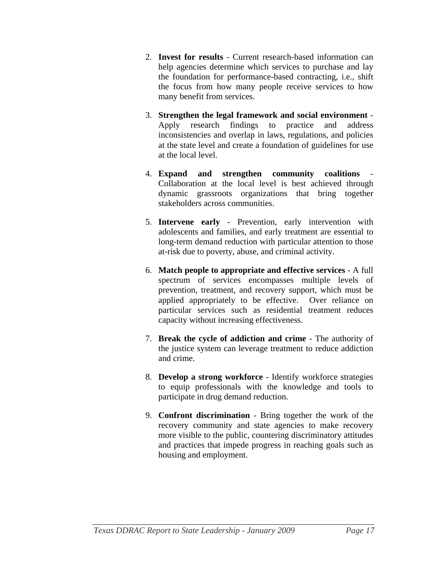- 2. **Invest for results** Current research-based information can help agencies determine which services to purchase and lay the foundation for performance-based contracting, i.e., shift the focus from how many people receive services to how many benefit from services.
- 3. **Strengthen the legal framework and social environment** Apply research findings to practice and address inconsistencies and overlap in laws, regulations, and policies at the state level and create a foundation of guidelines for use at the local level.
- 4. **Expand and strengthen community coalitions** Collaboration at the local level is best achieved through dynamic grassroots organizations that bring together stakeholders across communities.
- 5. **Intervene early** Prevention, early intervention with adolescents and families, and early treatment are essential to long-term demand reduction with particular attention to those at-risk due to poverty, abuse, and criminal activity.
- 6. **Match people to appropriate and effective services** A full spectrum of services encompasses multiple levels of prevention, treatment, and recovery support, which must be applied appropriately to be effective. Over reliance on particular services such as residential treatment reduces capacity without increasing effectiveness.
- 7. **Break the cycle of addiction and crime** The authority of the justice system can leverage treatment to reduce addiction and crime.
- 8. **Develop a strong workforce** Identify workforce strategies to equip professionals with the knowledge and tools to participate in drug demand reduction.
- 9. **Confront discrimination** Bring together the work of the recovery community and state agencies to make recovery more visible to the public, countering discriminatory attitudes and practices that impede progress in reaching goals such as housing and employment.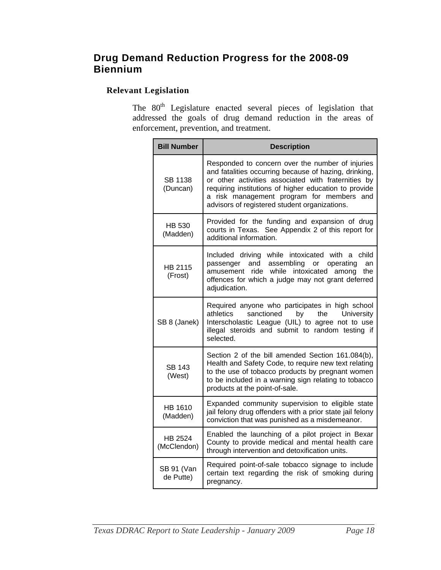# <span id="page-17-0"></span>**Drug Demand Reduction Progress for the 2008-09 Biennium**

# **Relevant Legislation**

The 80<sup>th</sup> Legislature enacted several pieces of legislation that addressed the goals of drug demand reduction in the areas of enforcement, prevention, and treatment.

| <b>Bill Number</b>      | <b>Description</b>                                                                                                                                                                                                                                                                                                      |
|-------------------------|-------------------------------------------------------------------------------------------------------------------------------------------------------------------------------------------------------------------------------------------------------------------------------------------------------------------------|
| SB 1138<br>(Duncan)     | Responded to concern over the number of injuries<br>and fatalities occurring because of hazing, drinking,<br>or other activities associated with fraternities by<br>requiring institutions of higher education to provide<br>a risk management program for members and<br>advisors of registered student organizations. |
| HB 530<br>(Madden)      | Provided for the funding and expansion of drug<br>courts in Texas. See Appendix 2 of this report for<br>additional information.                                                                                                                                                                                         |
| HB 2115<br>(Frost)      | Included driving while intoxicated with a child<br>passenger and<br>assembling<br>operating<br>or<br>an<br>ride while<br>intoxicated<br>amusement<br>among<br>the<br>offences for which a judge may not grant deferred<br>adjudication.                                                                                 |
| SB 8 (Janek)            | Required anyone who participates in high school<br>athletics<br>sanctioned<br>by<br>the<br>University<br>Interscholastic League (UIL) to agree not to use<br>illegal steroids and submit to random testing if<br>selected.                                                                                              |
| <b>SB 143</b><br>(West) | Section 2 of the bill amended Section 161.084(b),<br>Health and Safety Code, to require new text relating<br>to the use of tobacco products by pregnant women<br>to be included in a warning sign relating to tobacco<br>products at the point-of-sale.                                                                 |
| HB 1610<br>(Madden)     | Expanded community supervision to eligible state<br>jail felony drug offenders with a prior state jail felony<br>conviction that was punished as a misdemeanor.                                                                                                                                                         |
| HB 2524<br>(McClendon)  | Enabled the launching of a pilot project in Bexar<br>County to provide medical and mental health care<br>through intervention and detoxification units.                                                                                                                                                                 |
| SB 91 (Van<br>de Putte) | Required point-of-sale tobacco signage to include<br>certain text regarding the risk of smoking during<br>pregnancy.                                                                                                                                                                                                    |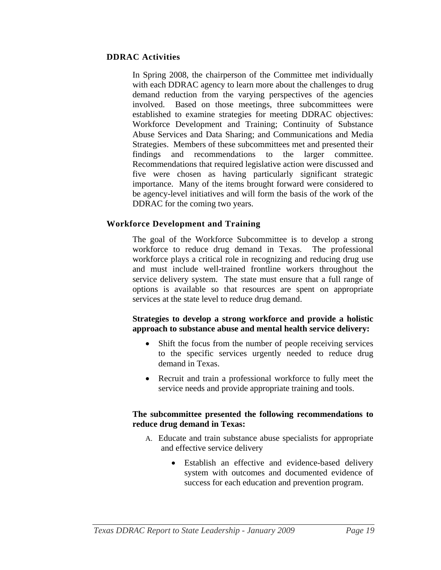#### **DDRAC Activities**

In Spring 2008, the chairperson of the Committee met individually with each DDRAC agency to learn more about the challenges to drug demand reduction from the varying perspectives of the agencies involved. Based on those meetings, three subcommittees were established to examine strategies for meeting DDRAC objectives: Workforce Development and Training; Continuity of Substance Abuse Services and Data Sharing; and Communications and Media Strategies. Members of these subcommittees met and presented their findings and recommendations to the larger committee. Recommendations that required legislative action were discussed and five were chosen as having particularly significant strategic importance. Many of the items brought forward were considered to be agency-level initiatives and will form the basis of the work of the DDRAC for the coming two years.

# **Workforce Development and Training**

The goal of the Workforce Subcommittee is to develop a strong workforce to reduce drug demand in Texas. The professional workforce plays a critical role in recognizing and reducing drug use and must include well-trained frontline workers throughout the service delivery system. The state must ensure that a full range of options is available so that resources are spent on appropriate services at the state level to reduce drug demand.

#### **Strategies to develop a strong workforce and provide a holistic approach to substance abuse and mental health service delivery:**

- Shift the focus from the number of people receiving services to the specific services urgently needed to reduce drug demand in Texas.
- Recruit and train a professional workforce to fully meet the service needs and provide appropriate training and tools.

#### **The subcommittee presented the following recommendations to reduce drug demand in Texas:**

- A. Educate and train substance abuse specialists for appropriate and effective service delivery
	- Establish an effective and evidence-based delivery system with outcomes and documented evidence of success for each education and prevention program.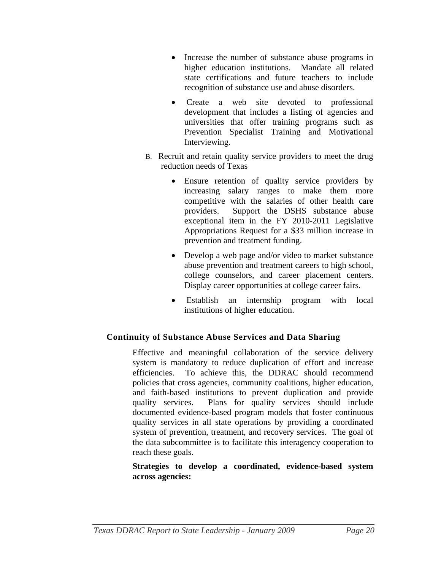- Increase the number of substance abuse programs in higher education institutions. Mandate all related state certifications and future teachers to include recognition of substance use and abuse disorders.
- Create a web site devoted to professional development that includes a listing of agencies and universities that offer training programs such as Prevention Specialist Training and Motivational Interviewing.
- B. Recruit and retain quality service providers to meet the drug reduction needs of Texas
	- Ensure retention of quality service providers by increasing salary ranges to make them more competitive with the salaries of other health care providers. Support the DSHS substance abuse exceptional item in the FY 2010-2011 Legislative Appropriations Request for a \$33 million increase in prevention and treatment funding.
	- Develop a web page and/or video to market substance abuse prevention and treatment careers to high school, college counselors, and career placement centers. Display career opportunities at college career fairs.
	- Establish an internship program with local institutions of higher education.

# **Continuity of Substance Abuse Services and Data Sharing**

Effective and meaningful collaboration of the service delivery system is mandatory to reduce duplication of effort and increase efficiencies. To achieve this, the DDRAC should recommend policies that cross agencies, community coalitions, higher education, and faith-based institutions to prevent duplication and provide quality services. Plans for quality services should include documented evidence-based program models that foster continuous quality services in all state operations by providing a coordinated system of prevention, treatment, and recovery services. The goal of the data subcommittee is to facilitate this interagency cooperation to reach these goals.

# **Strategies to develop a coordinated, evidence-based system across agencies:**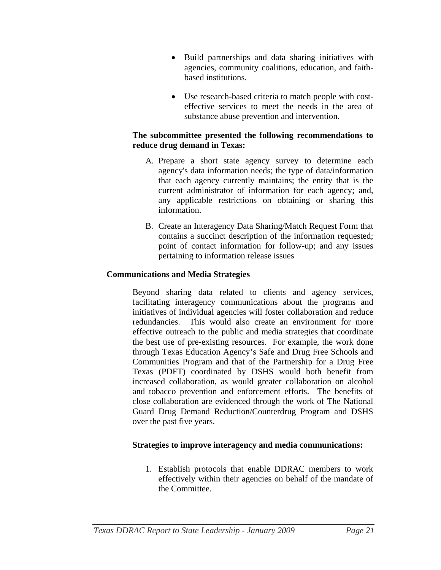- Build partnerships and data sharing initiatives with agencies, community coalitions, education, and faithbased institutions.
- Use research-based criteria to match people with costeffective services to meet the needs in the area of substance abuse prevention and intervention.

#### **The subcommittee presented the following recommendations to reduce drug demand in Texas:**

- A. Prepare a short state agency survey to determine each agency's data information needs; the type of data/information that each agency currently maintains; the entity that is the current administrator of information for each agency; and, any applicable restrictions on obtaining or sharing this information.
- B. Create an Interagency Data Sharing/Match Request Form that contains a succinct description of the information requested; point of contact information for follow-up; and any issues pertaining to information release issues

# **Communications and Media Strategies**

Beyond sharing data related to clients and agency services, facilitating interagency communications about the programs and initiatives of individual agencies will foster collaboration and reduce redundancies. This would also create an environment for more effective outreach to the public and media strategies that coordinate the best use of pre-existing resources. For example, the work done through Texas Education Agency's Safe and Drug Free Schools and Communities Program and that of the Partnership for a Drug Free Texas (PDFT) coordinated by DSHS would both benefit from increased collaboration, as would greater collaboration on alcohol and tobacco prevention and enforcement efforts. The benefits of close collaboration are evidenced through the work of The National Guard Drug Demand Reduction/Counterdrug Program and DSHS over the past five years.

# **Strategies to improve interagency and media communications:**

1. Establish protocols that enable DDRAC members to work effectively within their agencies on behalf of the mandate of the Committee.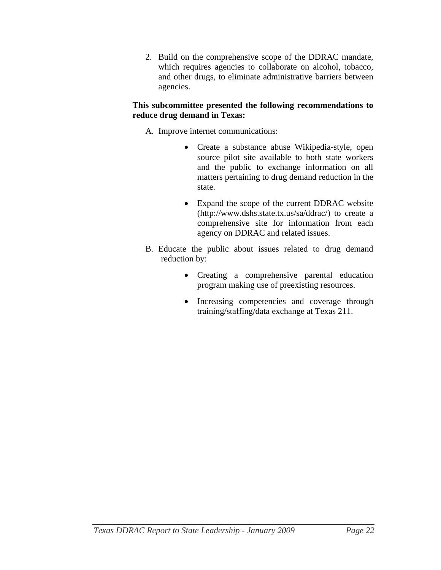2. Build on the comprehensive scope of the DDRAC mandate, which requires agencies to collaborate on alcohol, tobacco, and other drugs, to eliminate administrative barriers between agencies.

# **This subcommittee presented the following recommendations to reduce drug demand in Texas:**

A. Improve internet communications:

- Create a substance abuse Wikipedia-style, open source pilot site available to both state workers and the public to exchange information on all matters pertaining to drug demand reduction in the state.
- Expand the scope of the current DDRAC website (http://www.dshs.state.tx.us/sa/ddrac/) to create a comprehensive site for information from each agency on DDRAC and related issues.
- B. Educate the public about issues related to drug demand reduction by:
	- Creating a comprehensive parental education program making use of preexisting resources.
	- Increasing competencies and coverage through training/staffing/data exchange at Texas 211.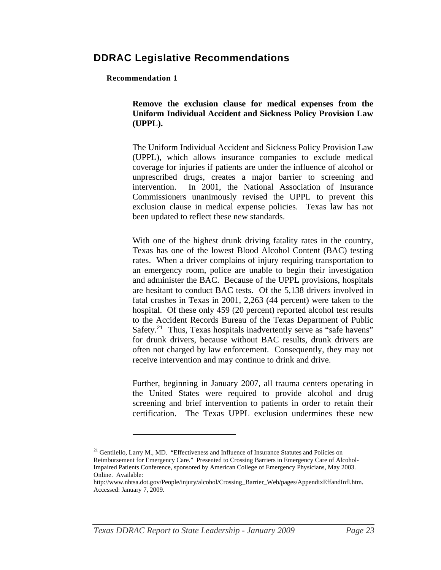# <span id="page-22-0"></span>**DDRAC Legislative Recommendations**

#### **Recommendation 1**

 $\overline{a}$ 

**Remove the exclusion clause for medical expenses from the Uniform Individual Accident and Sickness Policy Provision Law (UPPL).** 

The Uniform Individual Accident and Sickness Policy Provision Law (UPPL), which allows insurance companies to exclude medical coverage for injuries if patients are under the influence of alcohol or unprescribed drugs, creates a major barrier to screening and intervention. In 2001, the National Association of Insurance Commissioners unanimously revised the UPPL to prevent this exclusion clause in medical expense policies. Texas law has not been updated to reflect these new standards.

With one of the highest drunk driving fatality rates in the country, Texas has one of the lowest Blood Alcohol Content (BAC) testing rates. When a driver complains of injury requiring transportation to an emergency room, police are unable to begin their investigation and administer the BAC. Because of the UPPL provisions, hospitals are hesitant to conduct BAC tests. Of the 5,138 drivers involved in fatal crashes in Texas in 2001, 2,263 (44 percent) were taken to the hospital. Of these only 459 (20 percent) reported alcohol test results to the Accident Records Bureau of the Texas Department of Public Safety.<sup>[21](#page-22-0)</sup> Thus, Texas hospitals inadvertently serve as "safe havens" for drunk drivers, because without BAC results, drunk drivers are often not charged by law enforcement. Consequently, they may not receive intervention and may continue to drink and drive.

Further, beginning in January 2007, all trauma centers operating in the United States were required to provide alcohol and drug screening and brief intervention to patients in order to retain their certification. The Texas UPPL exclusion undermines these new

 $^{21}$  Gentilello, Larry M., MD. "Effectiveness and Influence of Insurance Statutes and Policies on Reimbursement for Emergency Care." Presented to Crossing Barriers in Emergency Care of Alcohol-Impaired Patients Conference, sponsored by American College of Emergency Physicians, May 2003. Online. Available:

http://www.nhtsa.dot.gov/People/injury/alcohol/Crossing\_Barrier\_Web/pages/AppendixEffandInfl.htm. Accessed: January 7, 2009.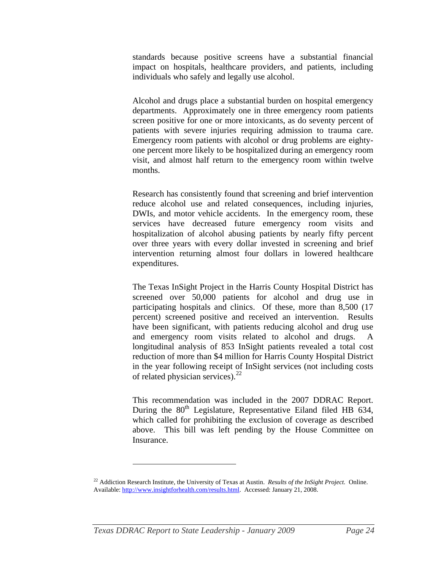<span id="page-23-0"></span>standards because positive screens have a substantial financial impact on hospitals, healthcare providers, and patients, including individuals who safely and legally use alcohol.

Alcohol and drugs place a substantial burden on hospital emergency departments. Approximately one in three emergency room patients screen positive for one or more intoxicants, as do seventy percent of patients with severe injuries requiring admission to trauma care. Emergency room patients with alcohol or drug problems are eightyone percent more likely to be hospitalized during an emergency room visit, and almost half return to the emergency room within twelve months.

Research has consistently found that screening and brief intervention reduce alcohol use and related consequences, including injuries, DWIs, and motor vehicle accidents. In the emergency room, these services have decreased future emergency room visits and hospitalization of alcohol abusing patients by nearly fifty percent over three years with every dollar invested in screening and brief intervention returning almost four dollars in lowered healthcare expenditures.

The Texas InSight Project in the Harris County Hospital District has screened over 50,000 patients for alcohol and drug use in participating hospitals and clinics. Of these, more than 8,500 (17 percent) screened positive and received an intervention. Results have been significant, with patients reducing alcohol and drug use and emergency room visits related to alcohol and drugs. A longitudinal analysis of 853 InSight patients revealed a total cost reduction of more than \$4 million for Harris County Hospital District in the year following receipt of InSight services (not including costs of related physician services).<sup>[22](#page-23-0)</sup>

This recommendation was included in the 2007 DDRAC Report. During the  $80<sup>th</sup>$  Legislature, Representative Eiland filed HB 634, which called for prohibiting the exclusion of coverage as described above. This bill was left pending by the House Committee on Insurance.

<sup>22</sup> Addiction Research Institute, the University of Texas at Austin. *Results of the InSight Project.* Online. Available: [http://www.insightforhealth.com/results.html.](http://www.insightforhealth.com/results.html) Accessed: January 21, 2008.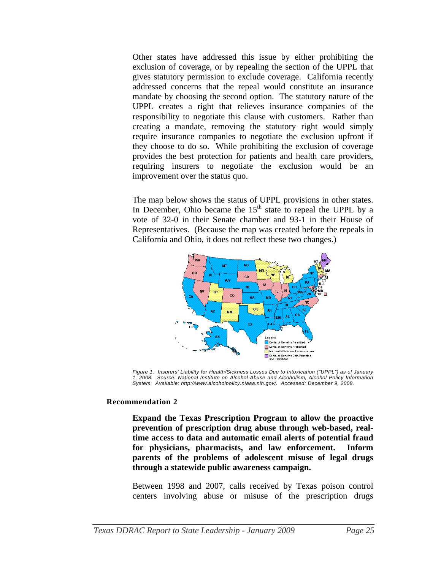Other states have addressed this issue by either prohibiting the exclusion of coverage, or by repealing the section of the UPPL that gives statutory permission to exclude coverage. California recently addressed concerns that the repeal would constitute an insurance mandate by choosing the second option. The statutory nature of the UPPL creates a right that relieves insurance companies of the responsibility to negotiate this clause with customers. Rather than creating a mandate, removing the statutory right would simply require insurance companies to negotiate the exclusion upfront if they choose to do so. While prohibiting the exclusion of coverage provides the best protection for patients and health care providers, requiring insurers to negotiate the exclusion would be an improvement over the status quo.

The map below shows the status of UPPL provisions in other states. In December, Ohio became the  $15<sup>th</sup>$  state to repeal the UPPL by a vote of 32-0 in their Senate chamber and 93-1 in their House of Representatives. (Because the map was created before the repeals in California and Ohio, it does not reflect these two changes.)



*Figure 1. Insurers' Liability for Health/Sickness Losses Due to Intoxication ("UPPL") as of January 1, 2008. Source: National Institute on Alcohol Abuse and Alcoholism, Alcohol Policy Information System. Available: http://www.alcoholpolicy.niaaa.nih.gov/. Accessed: December 9, 2008.* 

#### **Recommendation 2**

**Expand the Texas Prescription Program to allow the proactive prevention of prescription drug abuse through web-based, realtime access to data and automatic email alerts of potential fraud for physicians, pharmacists, and law enforcement. Inform parents of the problems of adolescent misuse of legal drugs through a statewide public awareness campaign.** 

Between 1998 and 2007, calls received by Texas poison control centers involving abuse or misuse of the prescription drugs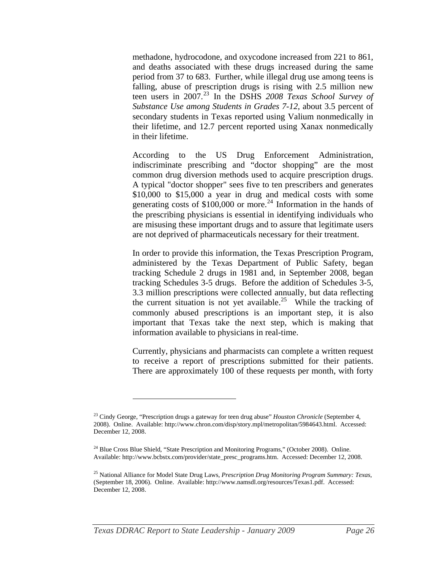<span id="page-25-0"></span>methadone, hydrocodone, and oxycodone increased from 221 to 861, and deaths associated with these drugs increased during the same period from 37 to 683. Further, while illegal drug use among teens is falling, abuse of prescription drugs is rising with 2.5 million new teen users in 2007.<sup>[23](#page-25-0)</sup> In the DSHS 2008 Texas School Survey of *Substance Use among Students in Grades 7-12*, about 3.5 percent of secondary students in Texas reported using Valium nonmedically in their lifetime, and 12.7 percent reported using Xanax nonmedically in their lifetime.

According to the US Drug Enforcement Administration, indiscriminate prescribing and "doctor shopping" are the most common drug diversion methods used to acquire prescription drugs. A typical "doctor shopper" sees five to ten prescribers and generates \$10,000 to \$15,000 a year in drug and medical costs with some generating costs of  $$100,000$  or more.<sup>[24](#page-25-0)</sup> Information in the hands of the prescribing physicians is essential in identifying individuals who are misusing these important drugs and to assure that legitimate users are not deprived of pharmaceuticals necessary for their treatment.

In order to provide this information, the Texas Prescription Program, administered by the Texas Department of Public Safety, began tracking Schedule 2 drugs in 1981 and, in September 2008, began tracking Schedules 3-5 drugs. Before the addition of Schedules 3-5, 3.3 million prescriptions were collected annually, but data reflecting the current situation is not yet available.<sup>[25](#page-25-0)</sup> While the tracking of commonly abused prescriptions is an important step, it is also important that Texas take the next step, which is making that information available to physicians in real-time.

Currently, physicians and pharmacists can complete a written request to receive a report of prescriptions submitted for their patients. There are approximately 100 of these requests per month, with forty

<sup>23</sup> Cindy George, "Prescription drugs a gateway for teen drug abuse" *Houston Chronicle* (September 4, 2008). Online. Available: http://www.chron.com/disp/story.mpl/metropolitan/5984643.html. Accessed: December 12, 2008.

<sup>&</sup>lt;sup>24</sup> Blue Cross Blue Shield, "State Prescription and Monitoring Programs," (October 2008). Online. Available: http://www.bcbstx.com/provider/state\_presc\_programs.htm. Accessed: December 12, 2008.

<sup>25</sup> National Alliance for Model State Drug Laws, *Prescription Drug Monitoring Program Summary: Texas*, (September 18, 2006). Online. Available: http://www.namsdl.org/resources/Texas1.pdf. Accessed: December 12, 2008.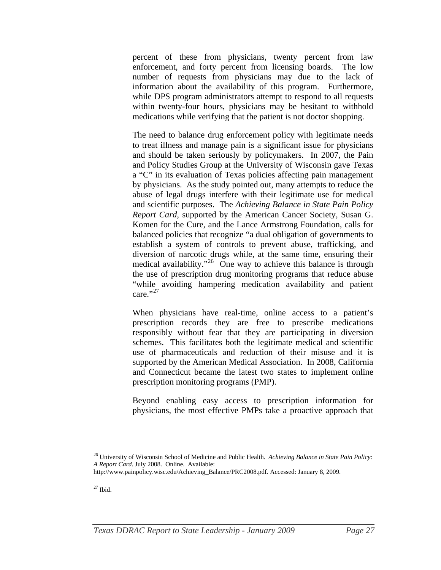<span id="page-26-0"></span>percent of these from physicians, twenty percent from law enforcement, and forty percent from licensing boards. The low number of requests from physicians may due to the lack of information about the availability of this program. Furthermore, while DPS program administrators attempt to respond to all requests within twenty-four hours, physicians may be hesitant to withhold medications while verifying that the patient is not doctor shopping.

The need to balance drug enforcement policy with legitimate needs to treat illness and manage pain is a significant issue for physicians and should be taken seriously by policymakers. In 2007, the Pain and Policy Studies Group at the University of Wisconsin gave Texas a "C" in its evaluation of Texas policies affecting pain management by physicians. As the study pointed out, many attempts to reduce the abuse of legal drugs interfere with their legitimate use for medical and scientific purposes. The *Achieving Balance in State Pain Policy Report Card,* supported by the American Cancer Society, Susan G. Komen for the Cure, and the Lance Armstrong Foundation, calls for balanced policies that recognize "a dual obligation of governments to establish a system of controls to prevent abuse, trafficking, and diversion of narcotic drugs while, at the same time, ensuring their medical availability."<sup>[26](#page-26-0)</sup> One way to achieve this balance is through the use of prescription drug monitoring programs that reduce abuse "while avoiding hampering medication availability and patient care." $27$ 

When physicians have real-time, online access to a patient's prescription records they are free to prescribe medications responsibly without fear that they are participating in diversion schemes. This facilitates both the legitimate medical and scientific use of pharmaceuticals and reduction of their misuse and it is supported by the American Medical Association. In 2008, California and Connecticut became the latest two states to implement online prescription monitoring programs (PMP).

Beyond enabling easy access to prescription information for physicians, the most effective PMPs take a proactive approach that

<sup>26</sup> University of Wisconsin School of Medicine and Public Health. *Achieving Balance in State Pain Policy: A Report Card.* July 2008. Online. Available:

http://www.painpolicy.wisc.edu/Achieving\_Balance/PRC2008.pdf. Accessed: January 8, 2009.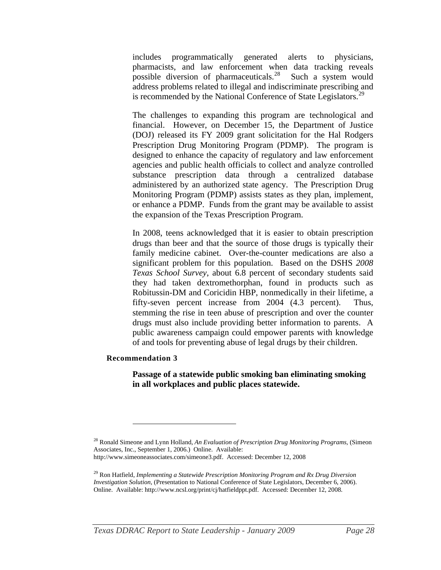<span id="page-27-0"></span>includes programmatically generated alerts to physicians, pharmacists, and law enforcement when data tracking reveals possible diversion of pharmaceuticals.<sup>[28](#page-27-0)</sup> Such a system would address problems related to illegal and indiscriminate prescribing and is recommended by the National Conference of State Legislators.<sup>[29](#page-27-0)</sup>

The challenges to expanding this program are technological and financial. However, on December 15, the Department of Justice (DOJ) released its FY 2009 grant solicitation for the Hal Rodgers Prescription Drug Monitoring Program (PDMP). The program is designed to enhance the capacity of regulatory and law enforcement agencies and public health officials to collect and analyze controlled substance prescription data through a centralized database administered by an authorized state agency. The Prescription Drug Monitoring Program (PDMP) assists states as they plan, implement, or enhance a PDMP. Funds from the grant may be available to assist the expansion of the Texas Prescription Program.

In 2008, teens acknowledged that it is easier to obtain prescription drugs than beer and that the source of those drugs is typically their family medicine cabinet. Over-the-counter medications are also a significant problem for this population. Based on the DSHS *2008 Texas School Survey*, about 6.8 percent of secondary students said they had taken dextromethorphan, found in products such as Robitussin-DM and Coricidin HBP, nonmedically in their lifetime, a fifty-seven percent increase from 2004 (4.3 percent). Thus, stemming the rise in teen abuse of prescription and over the counter drugs must also include providing better information to parents. A public awareness campaign could empower parents with knowledge of and tools for preventing abuse of legal drugs by their children.

#### **Recommendation 3**

 $\overline{a}$ 

**Passage of a statewide public smoking ban eliminating smoking in all workplaces and public places statewide.** 

<sup>28</sup> Ronald Simeone and Lynn Holland, *An Evaluation of Prescription Drug Monitoring Programs*, (Simeon Associates, Inc., September 1, 2006.) Online. Available: http://www.simeoneassociates.com/simeone3.pdf. Accessed: December 12, 2008

<sup>29</sup> Ron Hatfield, *Implementing a Statewide Prescription Monitoring Program and Rx Drug Diversion Investigation Solution*, (Presentation to National Conference of State Legislators, December 6, 2006). Online. Available: http://www.ncsl.org/print/cj/hatfieldppt.pdf. Accessed: December 12, 2008.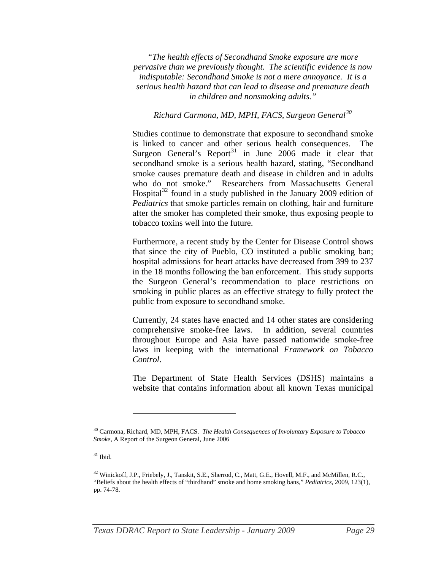<span id="page-28-0"></span>*"The health effects of Secondhand Smoke exposure are more pervasive than we previously thought. The scientific evidence is now indisputable: Secondhand Smoke is not a mere annoyance. It is a serious health hazard that can lead to disease and premature death in children and nonsmoking adults."*

#### *Richard Carmona, MD, MPH, FACS, Surgeon General[30](#page-28-0)*

Studies continue to demonstrate that exposure to secondhand smoke is linked to cancer and other serious health consequences. The Surgeon General's Report<sup>[31](#page-28-0)</sup> in June 2006 made it clear that secondhand smoke is a serious health hazard, stating, "Secondhand smoke causes premature death and disease in children and in adults who do not smoke." Researchers from Massachusetts General Hospital<sup>[32](#page-28-0)</sup> found in a study published in the January 2009 edition of *Pediatrics* that smoke particles remain on clothing, hair and furniture after the smoker has completed their smoke, thus exposing people to tobacco toxins well into the future.

Furthermore, a recent study by the Center for Disease Control shows that since the city of Pueblo, CO instituted a public smoking ban; hospital admissions for heart attacks have decreased from 399 to 237 in the 18 months following the ban enforcement. This study supports the Surgeon General's recommendation to place restrictions on smoking in public places as an effective strategy to fully protect the public from exposure to secondhand smoke.

Currently, 24 states have enacted and 14 other states are considering comprehensive smoke-free laws. In addition, several countries throughout Europe and Asia have passed nationwide smoke-free laws in keeping with the international *Framework on Tobacco Control*.

The Department of State Health Services (DSHS) maintains a website that contains information about all known Texas municipal

<sup>30</sup> Carmona, Richard, MD, MPH, FACS. *The Health Consequences of Involuntary Exposure to Tobacco Smoke*, A Report of the Surgeon General, June 2006

 $31$  Ibid.

<sup>&</sup>lt;sup>32</sup> Winickoff, J.P., Friebely, J., Tanskit, S.E., Sherrod, C., Matt, G.E., Hovell, M.F., and McMillen, R.C., "Beliefs about the health effects of "thirdhand" smoke and home smoking bans," *Pediatrics*, 2009, 123(1), pp. 74-78.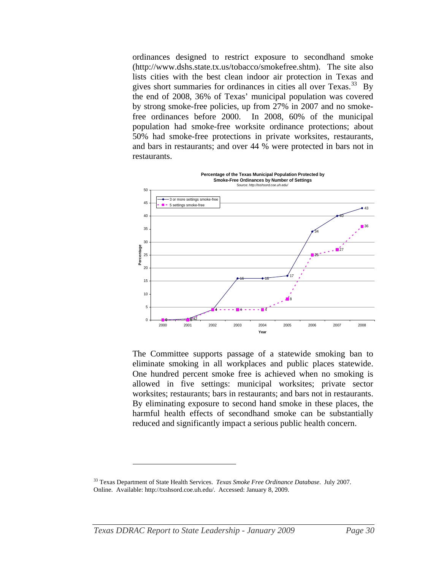<span id="page-29-0"></span>ordinances designed to restrict exposure to secondhand smoke (http://www.dshs.state.tx.us/tobacco/smokefree.shtm). The site also lists cities with the best clean indoor air protection in Texas and gives short summaries for ordinances in cities all over  $Texas.<sup>33</sup>$  $Texas.<sup>33</sup>$  $Texas.<sup>33</sup>$  By the end of 2008, 36% of Texas' municipal population was covered by strong smoke-free policies, up from 27% in 2007 and no smokefree ordinances before 2000. In 2008, 60% of the municipal population had smoke-free worksite ordinance protections; about 50% had smoke-free protections in private worksites, restaurants, and bars in restaurants; and over 44 % were protected in bars not in restaurants.



The Committee supports passage of a statewide smoking ban to eliminate smoking in all workplaces and public places statewide. One hundred percent smoke free is achieved when no smoking is allowed in five settings: municipal worksites; private sector worksites; restaurants; bars in restaurants; and bars not in restaurants. By eliminating exposure to second hand smoke in these places, the harmful health effects of secondhand smoke can be substantially reduced and significantly impact a serious public health concern.

<sup>33</sup> Texas Department of State Health Services. *Texas Smoke Free Ordinance Database*. July 2007. Online. Available: http://txshsord.coe.uh.edu/. Accessed: January 8, 2009.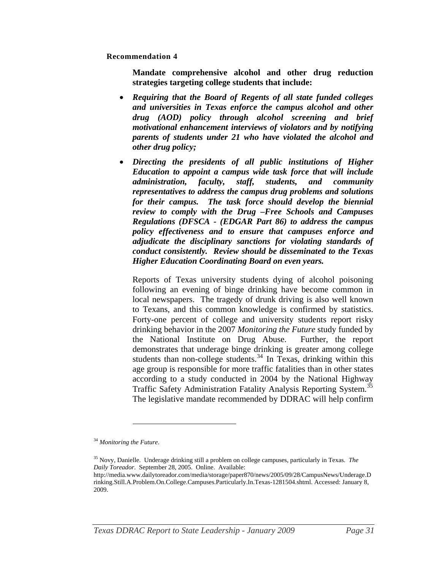<span id="page-30-0"></span>**Recommendation 4** 

**Mandate comprehensive alcohol and other drug reduction strategies targeting college students that include:** 

- *Requiring that the Board of Regents of all state funded colleges and universities in Texas enforce the campus alcohol and other drug (AOD) policy through alcohol screening and brief motivational enhancement interviews of violators and by notifying parents of students under 21 who have violated the alcohol and other drug policy;*
- *Directing the presidents of all public institutions of Higher Education to appoint a campus wide task force that will include administration, faculty, staff, students, and community representatives to address the campus drug problems and solutions for their campus. The task force should develop the biennial review to comply with the Drug –Free Schools and Campuses Regulations (DFSCA - (EDGAR Part 86) to address the campus policy effectiveness and to ensure that campuses enforce and adjudicate the disciplinary sanctions for violating standards of conduct consistently. Review should be disseminated to the Texas Higher Education Coordinating Board on even years.*

Reports of Texas university students dying of alcohol poisoning following an evening of binge drinking have become common in local newspapers. The tragedy of drunk driving is also well known to Texans, and this common knowledge is confirmed by statistics. Forty-one percent of college and university students report risky drinking behavior in the 2007 *Monitoring the Future* study funded by the National Institute on Drug Abuse. Further, the report demonstrates that underage binge drinking is greater among college students than non-college students. $34$  In Texas, drinking within this age group is responsible for more traffic fatalities than in other states according to a study conducted in 2004 by the National Highway Traffic Safety Administration Fatality Analysis Reporting System.<sup>[35](#page-30-0)</sup> The legislative mandate recommended by DDRAC will help confirm

<sup>34</sup> *Monitoring the Future*.

<sup>35</sup> Novy, Danielle. Underage drinking still a problem on college campuses, particularly in Texas. *The Daily Toreador*. September 28, 2005. Online. Available:

http://media.www.dailytoreador.com/media/storage/paper870/news/2005/09/28/CampusNews/Underage.D rinking.Still.A.Problem.On.College.Campuses.Particularly.In.Texas-1281504.shtml. Accessed: January 8, 2009.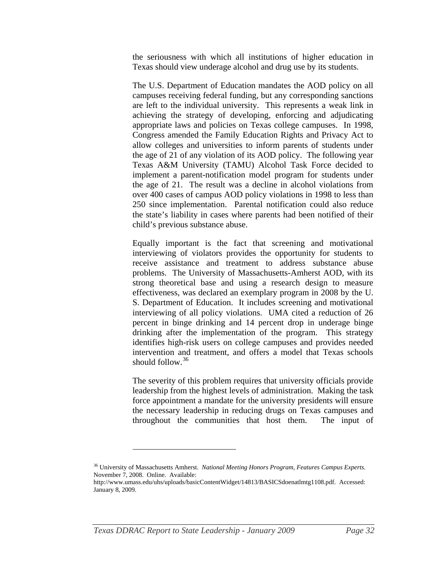<span id="page-31-0"></span>the seriousness with which all institutions of higher education in Texas should view underage alcohol and drug use by its students.

The U.S. Department of Education mandates the AOD policy on all campuses receiving federal funding, but any corresponding sanctions are left to the individual university. This represents a weak link in achieving the strategy of developing, enforcing and adjudicating appropriate laws and policies on Texas college campuses. In 1998, Congress amended the Family Education Rights and Privacy Act to allow colleges and universities to inform parents of students under the age of 21 of any violation of its AOD policy. The following year Texas A&M University (TAMU) Alcohol Task Force decided to implement a parent-notification model program for students under the age of 21. The result was a decline in alcohol violations from over 400 cases of campus AOD policy violations in 1998 to less than 250 since implementation. Parental notification could also reduce the state's liability in cases where parents had been notified of their child's previous substance abuse.

Equally important is the fact that screening and motivational interviewing of violators provides the opportunity for students to receive assistance and treatment to address substance abuse problems. The University of Massachusetts-Amherst AOD, with its strong theoretical base and using a research design to measure effectiveness, was declared an exemplary program in 2008 by the U. S. Department of Education. It includes screening and motivational interviewing of all policy violations. UMA cited a reduction of 26 percent in binge drinking and 14 percent drop in underage binge drinking after the implementation of the program. This strategy identifies high-risk users on college campuses and provides needed intervention and treatment, and offers a model that Texas schools should follow.  $36$ 

The severity of this problem requires that university officials provide leadership from the highest levels of administration. Making the task force appointment a mandate for the university presidents will ensure the necessary leadership in reducing drugs on Texas campuses and throughout the communities that host them. The input of

<sup>36</sup> University of Massachusetts Amherst. *National Meeting Honors Program, Features Campus Experts*. November 7, 2008. Online. Available:

http://www.umass.edu/uhs/uploads/basicContentWidget/14813/BASICSdoenatlmtg1108.pdf. Accessed: January 8, 2009.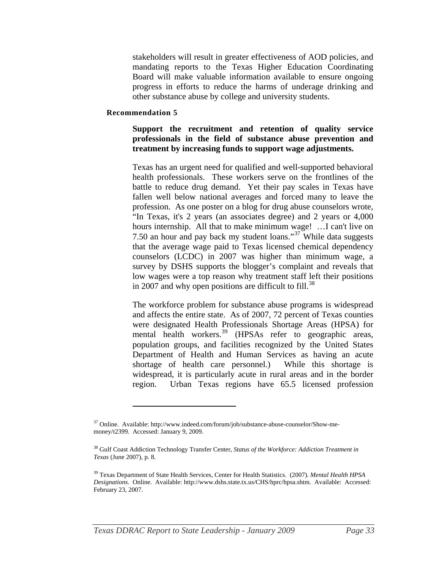<span id="page-32-0"></span>stakeholders will result in greater effectiveness of AOD policies, and mandating reports to the Texas Higher Education Coordinating Board will make valuable information available to ensure ongoing progress in efforts to reduce the harms of underage drinking and other substance abuse by college and university students.

#### **Recommendation 5**

 $\overline{a}$ 

#### **Support the recruitment and retention of quality service professionals in the field of substance abuse prevention and treatment by increasing funds to support wage adjustments.**

Texas has an urgent need for qualified and well-supported behavioral health professionals. These workers serve on the frontlines of the battle to reduce drug demand. Yet their pay scales in Texas have fallen well below national averages and forced many to leave the profession. As one poster on a blog for drug abuse counselors wrote, "In Texas, it's 2 years (an associates degree) and 2 years or 4,000 hours internship. All that to make minimum wage! …I can't live on 7.50 an hour and pay back my student loans."[37](#page-32-0) While data suggests that the average wage paid to Texas licensed chemical dependency counselors (LCDC) in 2007 was higher than minimum wage, a survey by DSHS supports the blogger's complaint and reveals that low wages were a top reason why treatment staff left their positions in 2007 and why open positions are difficult to  $fill.^{38}$  $fill.^{38}$  $fill.^{38}$ 

The workforce problem for substance abuse programs is widespread and affects the entire state. As of 2007, 72 percent of Texas counties were designated Health Professionals Shortage Areas (HPSA) for mental health workers.<sup>[39](#page-32-0)</sup> (HPSAs refer to geographic areas, population groups, and facilities recognized by the United States Department of Health and Human Services as having an acute shortage of health care personnel.) While this shortage is widespread, it is particularly acute in rural areas and in the border region. Urban Texas regions have 65.5 licensed profession

<sup>37</sup> Online. Available: http://www.indeed.com/forum/job/substance-abuse-counselor/Show-memoney/t2399. Accessed: January 9, 2009.

<sup>38</sup> Gulf Coast Addiction Technology Transfer Center, *Status of the Workforce: Addiction Treatment in Texas* (June 2007), p. 8.

<sup>39</sup> Texas Department of State Health Services, Center for Health Statistics. (2007). *Mental Health HPSA Designations.* Online. Available: http://www.dshs.state.tx.us/CHS/hprc/hpsa.shtm. Available: Accessed: February 23, 2007.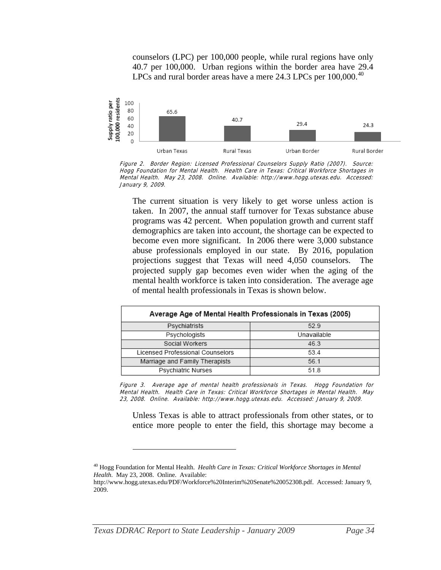counselors (LPC) per 100,000 people, while rural regions have only 40.7 per 100,000. Urban regions within the border area have 29.4 LPCs and rural border areas have a mere 24.3 LPCs per 100,000.<sup>[40](#page-33-0)</sup>

<span id="page-33-0"></span>

Figure 2. Border Region: Licensed Professional Counselors Supply Ratio (2007). Source: Hogg Foundation for Mental Health. Health Care in Texas: Critical Workforce Shortages in Mental Health. May 23, 2008. Online. Available: http://www.hogg.utexas.edu. Accessed: January 9, 2009.

The current situation is very likely to get worse unless action is taken. In 2007, the annual staff turnover for Texas substance abuse programs was 42 percent. When population growth and current staff demographics are taken into account, the shortage can be expected to become even more significant. In 2006 there were 3,000 substance abuse professionals employed in our state. By 2016, population projections suggest that Texas will need 4,050 counselors. The projected supply gap becomes even wider when the aging of the mental health workforce is taken into consideration. The average age of mental health professionals in Texas is shown below.

| Average Age of Mental Health Professionals in Texas (2005) |             |  |  |
|------------------------------------------------------------|-------------|--|--|
| Psychiatrists                                              | 529         |  |  |
| Psychologists                                              | Unavailable |  |  |
| Social Workers                                             | 46.3        |  |  |
| Licensed Professional Counselors                           | 53.4        |  |  |
| Marriage and Family Therapists                             | 56 1        |  |  |
| Psychiatric Nurses                                         | 518         |  |  |

Figure 3. Average age of mental health professionals in Texas. Hogg Foundation for Mental Health. Health Care in Texas: Critical Workforce Shortages in Mental Health. May 23, 2008. Online. Available: http://www.hogg.utexas.edu. Accessed: January 9, 2009.

Unless Texas is able to attract professionals from other states, or to entice more people to enter the field, this shortage may become a

<sup>40</sup> Hogg Foundation for Mental Health. *Health Care in Texas: Critical Workforce Shortages in Mental Health*. May 23, 2008. Online. Available:

http://www.hogg.utexas.edu/PDF/Workforce%20Interim%20Senate%20052308.pdf. Accessed: January 9, 2009.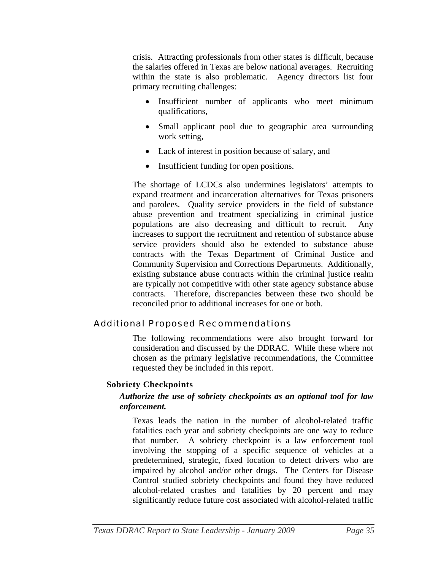<span id="page-34-0"></span>crisis. Attracting professionals from other states is difficult, because the salaries offered in Texas are below national averages. Recruiting within the state is also problematic. Agency directors list four primary recruiting challenges:

- Insufficient number of applicants who meet minimum qualifications,
- Small applicant pool due to geographic area surrounding work setting,
- Lack of interest in position because of salary, and
- Insufficient funding for open positions.

The shortage of LCDCs also undermines legislators' attempts to expand treatment and incarceration alternatives for Texas prisoners and parolees. Quality service providers in the field of substance abuse prevention and treatment specializing in criminal justice populations are also decreasing and difficult to recruit. Any increases to support the recruitment and retention of substance abuse service providers should also be extended to substance abuse contracts with the Texas Department of Criminal Justice and Community Supervision and Corrections Departments. Additionally, existing substance abuse contracts within the criminal justice realm are typically not competitive with other state agency substance abuse contracts. Therefore, discrepancies between these two should be reconciled prior to additional increases for one or both.

# Additional Proposed Recommendations

The following recommendations were also brought forward for consideration and discussed by the DDRAC. While these where not chosen as the primary legislative recommendations, the Committee requested they be included in this report.

# **Sobriety Checkpoints**

# *Authorize the use of sobriety checkpoints as an optional tool for law enforcement.*

Texas leads the nation in the number of alcohol-related traffic fatalities each year and sobriety checkpoints are one way to reduce that number. A sobriety checkpoint is a law enforcement tool involving the stopping of a specific sequence of vehicles at a predetermined, strategic, fixed location to detect drivers who are impaired by alcohol and/or other drugs. The Centers for Disease Control studied sobriety checkpoints and found they have reduced alcohol-related crashes and fatalities by 20 percent and may significantly reduce future cost associated with alcohol-related traffic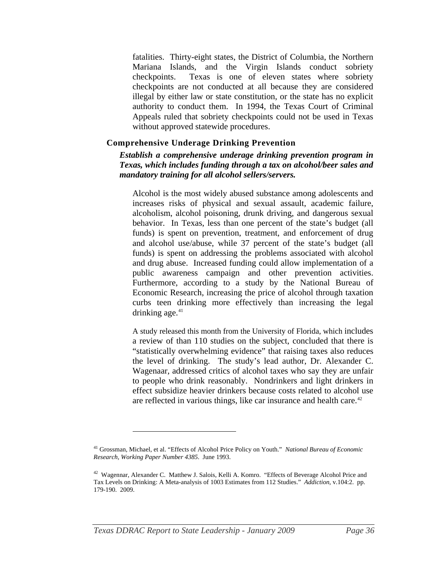<span id="page-35-0"></span>fatalities. Thirty-eight states, the District of Columbia, the Northern Mariana Islands, and the Virgin Islands conduct sobriety checkpoints. Texas is one of eleven states where sobriety checkpoints are not conducted at all because they are considered illegal by either law or state constitution, or the state has no explicit authority to conduct them. In 1994, the Texas Court of Criminal Appeals ruled that sobriety checkpoints could not be used in Texas without approved statewide procedures.

#### **Comprehensive Underage Drinking Prevention**

#### *Establish a comprehensive underage drinking prevention program in Texas, which includes funding through a tax on alcohol/beer sales and mandatory training for all alcohol sellers/servers.*

Alcohol is the most widely abused substance among adolescents and increases risks of physical and sexual assault, academic failure, alcoholism, alcohol poisoning, drunk driving, and dangerous sexual behavior. In Texas, less than one percent of the state's budget (all funds) is spent on prevention, treatment, and enforcement of drug and alcohol use/abuse, while 37 percent of the state's budget (all funds) is spent on addressing the problems associated with alcohol and drug abuse. Increased funding could allow implementation of a public awareness campaign and other prevention activities. Furthermore, according to a study by the National Bureau of Economic Research, increasing the price of alcohol through taxation curbs teen drinking more effectively than increasing the legal drinking age. $41$ 

A study released this month from the University of Florida, which includes a review of than 110 studies on the subject, concluded that there is "statistically overwhelming evidence" that raising taxes also reduces the level of drinking. The study's lead author, Dr. Alexander C. Wagenaar, addressed critics of alcohol taxes who say they are unfair to people who drink reasonably. Nondrinkers and light drinkers in effect subsidize heavier drinkers because costs related to alcohol use are reflected in various things, like car insurance and health care. $42$ 

<sup>41</sup> Grossman, Michael, et al. "Effects of Alcohol Price Policy on Youth." *National Bureau of Economic Research, Working Paper Number 4385*. June 1993.

<sup>42</sup> Wagennar, Alexander C. Matthew J. Salois, Kelli A. Komro. "Effects of Beverage Alcohol Price and Tax Levels on Drinking: A Meta-analysis of 1003 Estimates from 112 Studies." *Addiction*, v.104:2. pp. 179-190. 2009.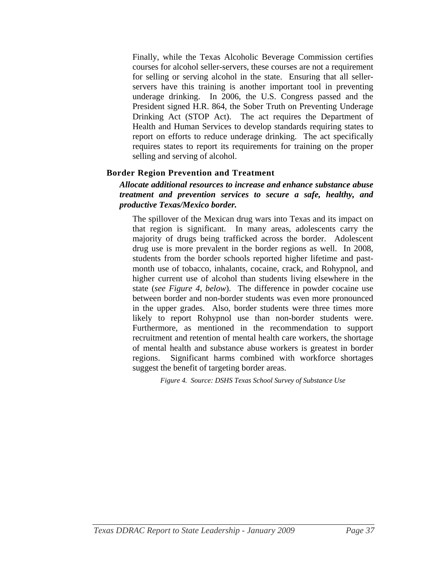Finally, while the Texas Alcoholic Beverage Commission certifies courses for alcohol seller-servers, these courses are not a requirement for selling or serving alcohol in the state. Ensuring that all sellerservers have this training is another important tool in preventing underage drinking. In 2006, the U.S. Congress passed and the President signed H.R. 864, the Sober Truth on Preventing Underage Drinking Act (STOP Act). The act requires the Department of Health and Human Services to develop standards requiring states to report on efforts to reduce underage drinking. The act specifically requires states to report its requirements for training on the proper selling and serving of alcohol.

# **Border Region Prevention and Treatment**

#### *Allocate additional resources to increase and enhance substance abuse treatment and prevention services to secure a safe, healthy, and productive Texas/Mexico border.*

The spillover of the Mexican drug wars into Texas and its impact on that region is significant. In many areas, adolescents carry the majority of drugs being trafficked across the border. Adolescent drug use is more prevalent in the border regions as well. In 2008, students from the border schools reported higher lifetime and pastmonth use of tobacco, inhalants, cocaine, crack, and Rohypnol, and higher current use of alcohol than students living elsewhere in the state (*see Figure 4, below*). The difference in powder cocaine use between border and non-border students was even more pronounced in the upper grades. Also, border students were three times more likely to report Rohypnol use than non-border students were. Furthermore, as mentioned in the recommendation to support recruitment and retention of mental health care workers, the shortage of mental health and substance abuse workers is greatest in border regions. Significant harms combined with workforce shortages suggest the benefit of targeting border areas.

*Figure 4. Source: DSHS Texas School Survey of Substance Use*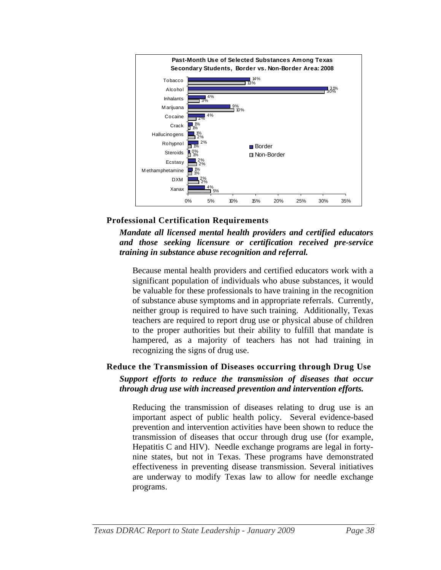

# **Professional Certification Requirements**

*Mandate all licensed mental health providers and certified educators and those seeking licensure or certification received pre-service training in substance abuse recognition and referral.*

Because mental health providers and certified educators work with a significant population of individuals who abuse substances, it would be valuable for these professionals to have training in the recognition of substance abuse symptoms and in appropriate referrals. Currently, neither group is required to have such training. Additionally, Texas teachers are required to report drug use or physical abuse of children to the proper authorities but their ability to fulfill that mandate is hampered, as a majority of teachers has not had training in recognizing the signs of drug use.

# **Reduce the Transmission of Diseases occurring through Drug Use**  *Support efforts to reduce the transmission of diseases that occur through drug use with increased prevention and intervention efforts.*

Reducing the transmission of diseases relating to drug use is an important aspect of public health policy. Several evidence-based prevention and intervention activities have been shown to reduce the transmission of diseases that occur through drug use (for example, Hepatitis C and HIV). Needle exchange programs are legal in fortynine states, but not in Texas. These programs have demonstrated effectiveness in preventing disease transmission. Several initiatives are underway to modify Texas law to allow for needle exchange programs.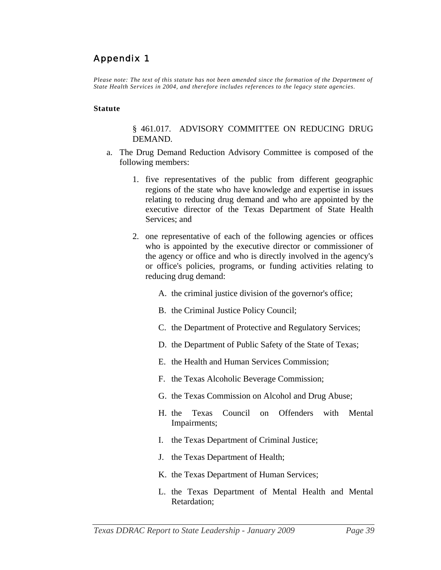# <span id="page-38-0"></span>Appendix 1

*Please note: The text of this statute has not been amended since the formation of the Department of State Health Services in 2004, and therefore includes references to the legacy state agencies*.

#### **Statute**

#### § 461.017. ADVISORY COMMITTEE ON REDUCING DRUG DEMAND.

- a. The Drug Demand Reduction Advisory Committee is composed of the following members:
	- 1. five representatives of the public from different geographic regions of the state who have knowledge and expertise in issues relating to reducing drug demand and who are appointed by the executive director of the Texas Department of State Health Services: and
	- 2. one representative of each of the following agencies or offices who is appointed by the executive director or commissioner of the agency or office and who is directly involved in the agency's or office's policies, programs, or funding activities relating to reducing drug demand:
		- A. the criminal justice division of the governor's office;
		- B. the Criminal Justice Policy Council;
		- C. the Department of Protective and Regulatory Services;
		- D. the Department of Public Safety of the State of Texas;
		- E. the Health and Human Services Commission;
		- F. the Texas Alcoholic Beverage Commission;
		- G. the Texas Commission on Alcohol and Drug Abuse;
		- H. the Texas Council on Offenders with Mental Impairments;
		- I. the Texas Department of Criminal Justice;
		- J. the Texas Department of Health;
		- K. the Texas Department of Human Services;
		- L. the Texas Department of Mental Health and Mental Retardation;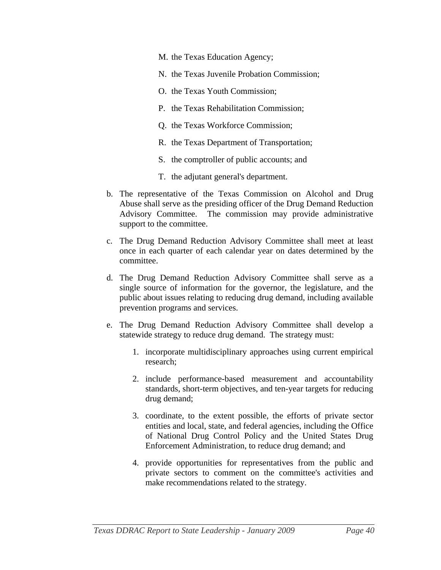- M. the Texas Education Agency;
- N. the Texas Juvenile Probation Commission;
- O. the Texas Youth Commission;
- P. the Texas Rehabilitation Commission;
- Q. the Texas Workforce Commission;
- R. the Texas Department of Transportation;
- S. the comptroller of public accounts; and
- T. the adjutant general's department.
- b. The representative of the Texas Commission on Alcohol and Drug Abuse shall serve as the presiding officer of the Drug Demand Reduction Advisory Committee. The commission may provide administrative support to the committee.
- c. The Drug Demand Reduction Advisory Committee shall meet at least once in each quarter of each calendar year on dates determined by the committee.
- d. The Drug Demand Reduction Advisory Committee shall serve as a single source of information for the governor, the legislature, and the public about issues relating to reducing drug demand, including available prevention programs and services.
- e. The Drug Demand Reduction Advisory Committee shall develop a statewide strategy to reduce drug demand. The strategy must:
	- 1. incorporate multidisciplinary approaches using current empirical research;
	- 2. include performance-based measurement and accountability standards, short-term objectives, and ten-year targets for reducing drug demand;
	- 3. coordinate, to the extent possible, the efforts of private sector entities and local, state, and federal agencies, including the Office of National Drug Control Policy and the United States Drug Enforcement Administration, to reduce drug demand; and
	- 4. provide opportunities for representatives from the public and private sectors to comment on the committee's activities and make recommendations related to the strategy.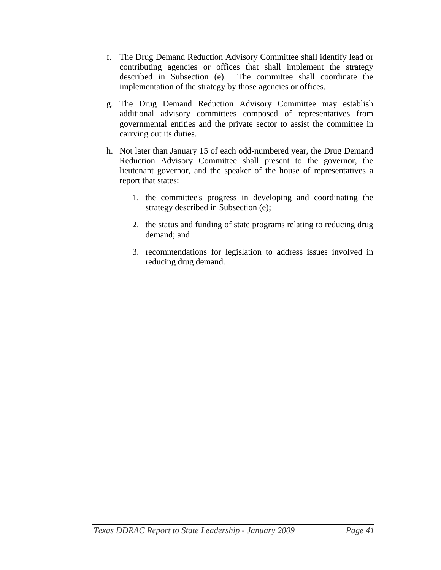- f. The Drug Demand Reduction Advisory Committee shall identify lead or contributing agencies or offices that shall implement the strategy described in Subsection (e). The committee shall coordinate the implementation of the strategy by those agencies or offices.
- g. The Drug Demand Reduction Advisory Committee may establish additional advisory committees composed of representatives from governmental entities and the private sector to assist the committee in carrying out its duties.
- h. Not later than January 15 of each odd-numbered year, the Drug Demand Reduction Advisory Committee shall present to the governor, the lieutenant governor, and the speaker of the house of representatives a report that states:
	- 1. the committee's progress in developing and coordinating the strategy described in Subsection (e);
	- 2. the status and funding of state programs relating to reducing drug demand; and
	- 3. recommendations for legislation to address issues involved in reducing drug demand.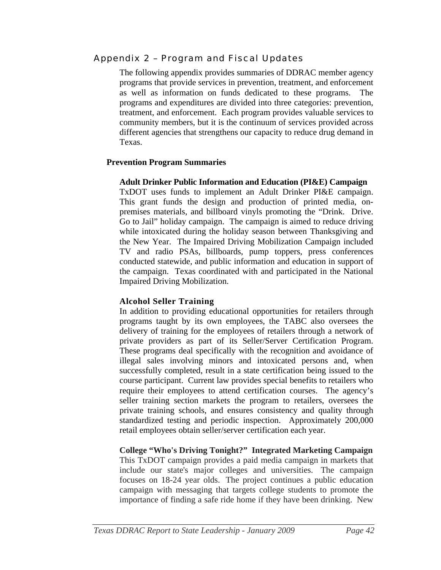# <span id="page-41-0"></span>Appendix 2 – Program and Fiscal Updates

The following appendix provides summaries of DDRAC member agency programs that provide services in prevention, treatment, and enforcement as well as information on funds dedicated to these programs. The programs and expenditures are divided into three categories: prevention, treatment, and enforcement. Each program provides valuable services to community members, but it is the continuum of services provided across different agencies that strengthens our capacity to reduce drug demand in Texas.

#### **Prevention Program Summaries**

#### **Adult Drinker Public Information and Education (PI&E) Campaign**

TxDOT uses funds to implement an Adult Drinker PI&E campaign. This grant funds the design and production of printed media, onpremises materials, and billboard vinyls promoting the "Drink. Drive. Go to Jail" holiday campaign. The campaign is aimed to reduce driving while intoxicated during the holiday season between Thanksgiving and the New Year. The Impaired Driving Mobilization Campaign included TV and radio PSAs, billboards, pump toppers, press conferences conducted statewide, and public information and education in support of the campaign. Texas coordinated with and participated in the National Impaired Driving Mobilization.

#### **Alcohol Seller Training**

In addition to providing educational opportunities for retailers through programs taught by its own employees, the TABC also oversees the delivery of training for the employees of retailers through a network of private providers as part of its Seller/Server Certification Program. These programs deal specifically with the recognition and avoidance of illegal sales involving minors and intoxicated persons and, when successfully completed, result in a state certification being issued to the course participant. Current law provides special benefits to retailers who require their employees to attend certification courses. The agency's seller training section markets the program to retailers, oversees the private training schools, and ensures consistency and quality through standardized testing and periodic inspection. Approximately 200,000 retail employees obtain seller/server certification each year.

**College "Who's Driving Tonight?" Integrated Marketing Campaign**  This TxDOT campaign provides a paid media campaign in markets that include our state's major colleges and universities. The campaign focuses on 18-24 year olds. The project continues a public education campaign with messaging that targets college students to promote the importance of finding a safe ride home if they have been drinking. New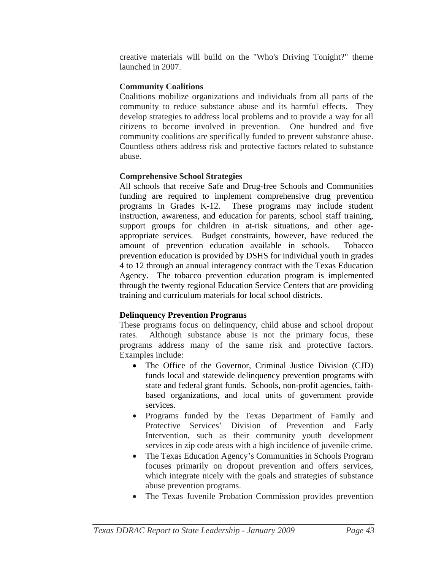creative materials will build on the "Who's Driving Tonight?" theme launched in 2007.

# **Community Coalitions**

Coalitions mobilize organizations and individuals from all parts of the community to reduce substance abuse and its harmful effects. They develop strategies to address local problems and to provide a way for all citizens to become involved in prevention. One hundred and five community coalitions are specifically funded to prevent substance abuse. Countless others address risk and protective factors related to substance abuse.

# **Comprehensive School Strategies**

All schools that receive Safe and Drug-free Schools and Communities funding are required to implement comprehensive drug prevention programs in Grades K-12. These programs may include student instruction, awareness, and education for parents, school staff training, support groups for children in at-risk situations, and other ageappropriate services. Budget constraints, however, have reduced the amount of prevention education available in schools. Tobacco prevention education is provided by DSHS for individual youth in grades 4 to 12 through an annual interagency contract with the Texas Education Agency. The tobacco prevention education program is implemented through the twenty regional Education Service Centers that are providing training and curriculum materials for local school districts.

# **Delinquency Prevention Programs**

These programs focus on delinquency, child abuse and school dropout rates. Although substance abuse is not the primary focus, these programs address many of the same risk and protective factors. Examples include:

- The Office of the Governor, Criminal Justice Division (CJD) funds local and statewide delinquency prevention programs with state and federal grant funds. Schools, non-profit agencies, faithbased organizations, and local units of government provide services.
- Programs funded by the Texas Department of Family and Protective Services' Division of Prevention and Early Intervention, such as their community youth development services in zip code areas with a high incidence of juvenile crime.
- The Texas Education Agency's Communities in Schools Program focuses primarily on dropout prevention and offers services, which integrate nicely with the goals and strategies of substance abuse prevention programs.
- The Texas Juvenile Probation Commission provides prevention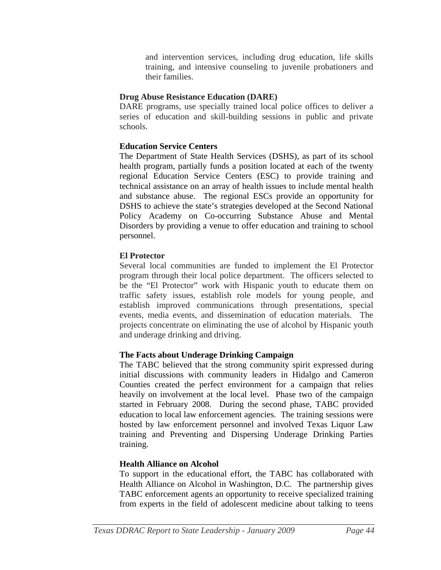and intervention services, including drug education, life skills training, and intensive counseling to juvenile probationers and their families.

# **Drug Abuse Resistance Education (DARE)**

DARE programs, use specially trained local police offices to deliver a series of education and skill-building sessions in public and private schools.

# **Education Service Centers**

The Department of State Health Services (DSHS), as part of its school health program, partially funds a position located at each of the twenty regional Education Service Centers (ESC) to provide training and technical assistance on an array of health issues to include mental health and substance abuse. The regional ESCs provide an opportunity for DSHS to achieve the state's strategies developed at the Second National Policy Academy on Co-occurring Substance Abuse and Mental Disorders by providing a venue to offer education and training to school personnel.

# **El Protector**

Several local communities are funded to implement the El Protector program through their local police department. The officers selected to be the "El Protector" work with Hispanic youth to educate them on traffic safety issues, establish role models for young people, and establish improved communications through presentations, special events, media events, and dissemination of education materials. The projects concentrate on eliminating the use of alcohol by Hispanic youth and underage drinking and driving.

# **The Facts about Underage Drinking Campaign**

The TABC believed that the strong community spirit expressed during initial discussions with community leaders in Hidalgo and Cameron Counties created the perfect environment for a campaign that relies heavily on involvement at the local level. Phase two of the campaign started in February 2008. During the second phase, TABC provided education to local law enforcement agencies. The training sessions were hosted by law enforcement personnel and involved Texas Liquor Law training and Preventing and Dispersing Underage Drinking Parties training.

# **Health Alliance on Alcohol**

To support in the educational effort, the TABC has collaborated with Health Alliance on Alcohol in Washington, D.C. The partnership gives TABC enforcement agents an opportunity to receive specialized training from experts in the field of adolescent medicine about talking to teens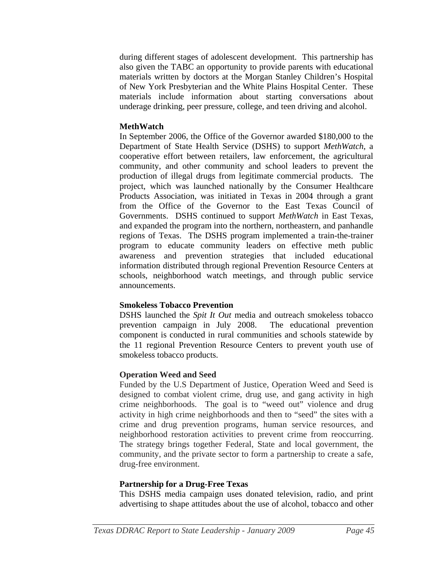during different stages of adolescent development. This partnership has also given the TABC an opportunity to provide parents with educational materials written by doctors at the Morgan Stanley Children's Hospital of New York Presbyterian and the White Plains Hospital Center. These materials include information about starting conversations about underage drinking, peer pressure, college, and teen driving and alcohol.

#### **MethWatch**

In September 2006, the Office of the Governor awarded \$180,000 to the Department of State Health Service (DSHS) to support *MethWatch*, a cooperative effort between retailers, law enforcement, the agricultural community, and other community and school leaders to prevent the production of illegal drugs from legitimate commercial products. The project, which was launched nationally by the Consumer Healthcare Products Association, was initiated in Texas in 2004 through a grant from the Office of the Governor to the East Texas Council of Governments. DSHS continued to support *MethWatch* in East Texas, and expanded the program into the northern, northeastern, and panhandle regions of Texas. The DSHS program implemented a train-the-trainer program to educate community leaders on effective meth public awareness and prevention strategies that included educational information distributed through regional Prevention Resource Centers at schools, neighborhood watch meetings, and through public service announcements.

# **Smokeless Tobacco Prevention**

DSHS launched the *Spit It Out* media and outreach smokeless tobacco prevention campaign in July 2008. The educational prevention component is conducted in rural communities and schools statewide by the 11 regional Prevention Resource Centers to prevent youth use of smokeless tobacco products.

# **Operation Weed and Seed**

Funded by the U.S Department of Justice, Operation Weed and Seed is designed to combat violent crime, drug use, and gang activity in high crime neighborhoods. The goal is to "weed out" violence and drug activity in high crime neighborhoods and then to "seed" the sites with a crime and drug prevention programs, human service resources, and neighborhood restoration activities to prevent crime from reoccurring. The strategy brings together Federal, State and local government, the community, and the private sector to form a partnership to create a safe, drug-free environment.

# **Partnership for a Drug-Free Texas**

This DSHS media campaign uses donated television, radio, and print advertising to shape attitudes about the use of alcohol, tobacco and other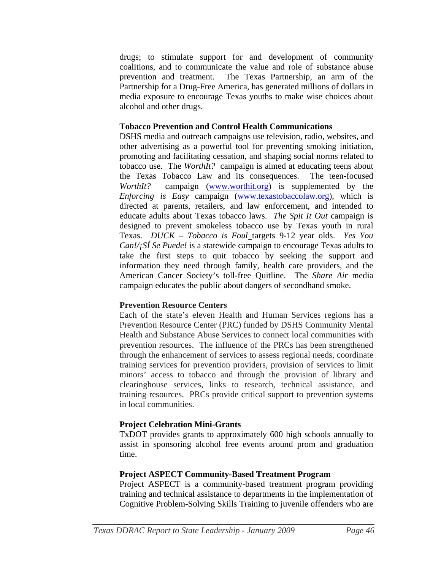drugs; to stimulate support for and development of community coalitions, and to communicate the value and role of substance abuse prevention and treatment. The Texas Partnership, an arm of the Partnership for a Drug-Free America, has generated millions of dollars in media exposure to encourage Texas youths to make wise choices about alcohol and other drugs.

#### **Tobacco Prevention and Control Health Communications**

DSHS media and outreach campaigns use television, radio, websites, and other advertising as a powerful tool for preventing smoking initiation, promoting and facilitating cessation, and shaping social norms related to tobacco use. The *WorthIt?* campaign is aimed at educating teens about the Texas Tobacco Law and its consequences. The teen-focused *WorthIt?* campaign [\(www.worthit.org\)](http://www.worthit.org/) is supplemented by the *Enforcing is Easy* campaign ([www.texastobaccolaw.org](http://www.texastobaccolaw.org/)), which is directed at parents, retailers, and law enforcement, and intended to educate adults about Texas tobacco laws. *The Spit It Out* campaign is designed to prevent smokeless tobacco use by Texas youth in rural Texas. *DUCK – Tobacco is Foul* targets 9-12 year olds. *Yes You Can!/¡SÍ Se Puede!* is a statewide campaign to encourage Texas adults to take the first steps to quit tobacco by seeking the support and information they need through family, health care providers, and the American Cancer Society's toll-free Quitline. The *Share Air* media campaign educates the public about dangers of secondhand smoke.

# **Prevention Resource Centers**

Each of the state's eleven Health and Human Services regions has a Prevention Resource Center (PRC) funded by DSHS Community Mental Health and Substance Abuse Services to connect local communities with prevention resources. The influence of the PRCs has been strengthened through the enhancement of services to assess regional needs, coordinate training services for prevention providers, provision of services to limit minors' access to tobacco and through the provision of library and clearinghouse services, links to research, technical assistance, and training resources. PRCs provide critical support to prevention systems in local communities.

# **Project Celebration Mini-Grants**

TxDOT provides grants to approximately 600 high schools annually to assist in sponsoring alcohol free events around prom and graduation time.

#### **Project ASPECT Community-Based Treatment Program**

Project ASPECT is a community-based treatment program providing training and technical assistance to departments in the implementation of Cognitive Problem-Solving Skills Training to juvenile offenders who are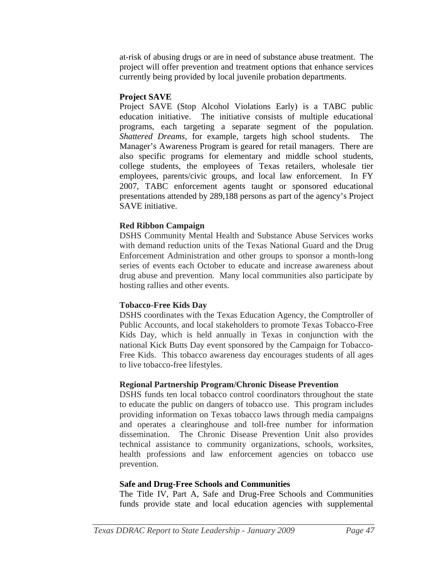at-risk of abusing drugs or are in need of substance abuse treatment. The project will offer prevention and treatment options that enhance services currently being provided by local juvenile probation departments.

# **Project SAVE**

Project SAVE (Stop Alcohol Violations Early) is a TABC public education initiative. The initiative consists of multiple educational programs, each targeting a separate segment of the population. *Shattered Dreams*, for example, targets high school students. The Manager's Awareness Program is geared for retail managers. There are also specific programs for elementary and middle school students, college students, the employees of Texas retailers, wholesale tier employees, parents/civic groups, and local law enforcement. In FY 2007, TABC enforcement agents taught or sponsored educational presentations attended by 289,188 persons as part of the agency's Project SAVE initiative.

# **Red Ribbon Campaign**

DSHS Community Mental Health and Substance Abuse Services works with demand reduction units of the Texas National Guard and the Drug Enforcement Administration and other groups to sponsor a month-long series of events each October to educate and increase awareness about drug abuse and prevention. Many local communities also participate by hosting rallies and other events.

# **Tobacco-Free Kids Day**

DSHS coordinates with the Texas Education Agency, the Comptroller of Public Accounts, and local stakeholders to promote Texas Tobacco-Free Kids Day, which is held annually in Texas in conjunction with the national Kick Butts Day event sponsored by the Campaign for Tobacco-Free Kids. This tobacco awareness day encourages students of all ages to live tobacco-free lifestyles.

#### **Regional Partnership Program/Chronic Disease Prevention**

DSHS funds ten local tobacco control coordinators throughout the state to educate the public on dangers of tobacco use. This program includes providing information on Texas tobacco laws through media campaigns and operates a clearinghouse and toll-free number for information dissemination. The Chronic Disease Prevention Unit also provides technical assistance to community organizations, schools, worksites, health professions and law enforcement agencies on tobacco use prevention.

#### **Safe and Drug-Free Schools and Communities**

The Title IV, Part A, Safe and Drug-Free Schools and Communities funds provide state and local education agencies with supplemental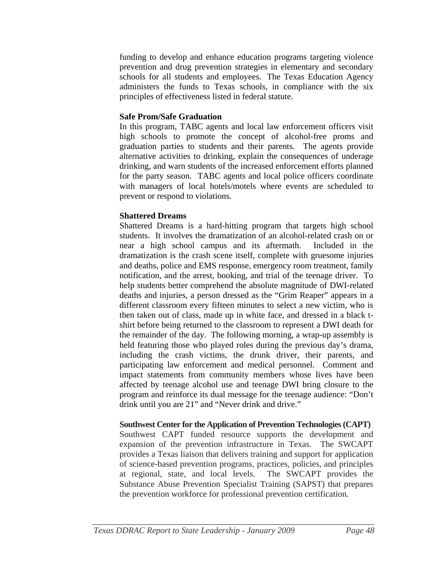funding to develop and enhance education programs targeting violence prevention and drug prevention strategies in elementary and secondary schools for all students and employees. The Texas Education Agency administers the funds to Texas schools, in compliance with the six principles of effectiveness listed in federal statute.

#### **Safe Prom/Safe Graduation**

In this program, TABC agents and local law enforcement officers visit high schools to promote the concept of alcohol-free proms and graduation parties to students and their parents. The agents provide alternative activities to drinking, explain the consequences of underage drinking, and warn students of the increased enforcement efforts planned for the party season. TABC agents and local police officers coordinate with managers of local hotels/motels where events are scheduled to prevent or respond to violations.

# **Shattered Dreams**

Shattered Dreams is a hard-hitting program that targets high school students. It involves the dramatization of an alcohol-related crash on or near a high school campus and its aftermath. Included in the dramatization is the crash scene itself, complete with gruesome injuries and deaths, police and EMS response, emergency room treatment, family notification, and the arrest, booking, and trial of the teenage driver. To help students better comprehend the absolute magnitude of DWI-related deaths and injuries, a person dressed as the "Grim Reaper" appears in a different classroom every fifteen minutes to select a new victim, who is then taken out of class, made up in white face, and dressed in a black tshirt before being returned to the classroom to represent a DWI death for the remainder of the day. The following morning, a wrap-up assembly is held featuring those who played roles during the previous day's drama, including the crash victims, the drunk driver, their parents, and participating law enforcement and medical personnel. Comment and impact statements from community members whose lives have been affected by teenage alcohol use and teenage DWI bring closure to the program and reinforce its dual message for the teenage audience: "Don't drink until you are 21" and "Never drink and drive."

#### **Southwest Center for the Application of Prevention Technologies (CAPT)**

Southwest CAPT funded resource supports the development and expansion of the prevention infrastructure in Texas. The SWCAPT provides a Texas liaison that delivers training and support for application of science-based prevention programs, practices, policies, and principles at regional, state, and local levels. The SWCAPT provides the Substance Abuse Prevention Specialist Training (SAPST) that prepares the prevention workforce for professional prevention certification.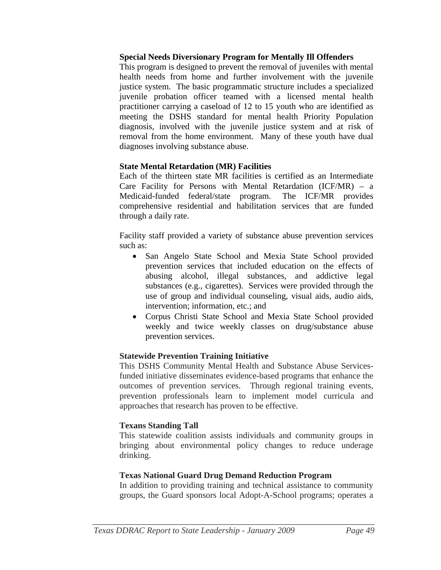#### **Special Needs Diversionary Program for Mentally Ill Offenders**

This program is designed to prevent the removal of juveniles with mental health needs from home and further involvement with the juvenile justice system. The basic programmatic structure includes a specialized juvenile probation officer teamed with a licensed mental health practitioner carrying a caseload of 12 to 15 youth who are identified as meeting the DSHS standard for mental health Priority Population diagnosis, involved with the juvenile justice system and at risk of removal from the home environment. Many of these youth have dual diagnoses involving substance abuse.

#### **State Mental Retardation (MR) Facilities**

Each of the thirteen state MR facilities is certified as an Intermediate Care Facility for Persons with Mental Retardation (ICF/MR) – a Medicaid-funded federal/state program. The ICF/MR provides comprehensive residential and habilitation services that are funded through a daily rate.

Facility staff provided a variety of substance abuse prevention services such as:

- San Angelo State School and Mexia State School provided prevention services that included education on the effects of abusing alcohol, illegal substances, and addictive legal substances (e.g., cigarettes). Services were provided through the use of group and individual counseling, visual aids, audio aids, intervention; information, etc.; and
- Corpus Christi State School and Mexia State School provided weekly and twice weekly classes on drug/substance abuse prevention services.

# **Statewide Prevention Training Initiative**

This DSHS Community Mental Health and Substance Abuse Servicesfunded initiative disseminates evidence-based programs that enhance the outcomes of prevention services. Through regional training events, prevention professionals learn to implement model curricula and approaches that research has proven to be effective.

#### **Texans Standing Tall**

This statewide coalition assists individuals and community groups in bringing about environmental policy changes to reduce underage drinking.

#### **Texas National Guard Drug Demand Reduction Program**

In addition to providing training and technical assistance to community groups, the Guard sponsors local Adopt-A-School programs; operates a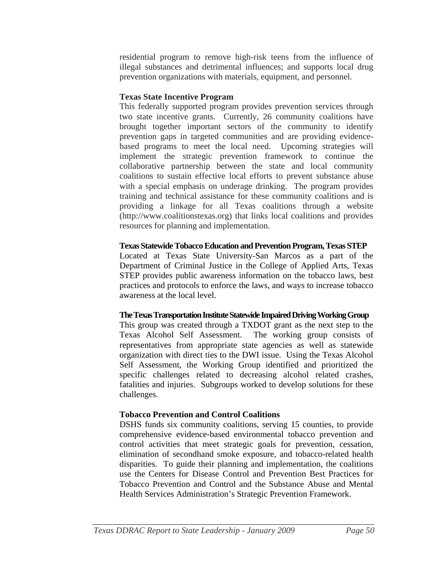residential program to remove high-risk teens from the influence of illegal substances and detrimental influences; and supports local drug prevention organizations with materials, equipment, and personnel.

# **Texas State Incentive Program**

This federally supported program provides prevention services through two state incentive grants. Currently, 26 community coalitions have brought together important sectors of the community to identify prevention gaps in targeted communities and are providing evidencebased programs to meet the local need. Upcoming strategies will implement the strategic prevention framework to continue the collaborative partnership between the state and local community coalitions to sustain effective local efforts to prevent substance abuse with a special emphasis on underage drinking. The program provides training and technical assistance for these community coalitions and is providing a linkage for all Texas coalitions through a website (http://www.coalitionstexas.org) that links local coalitions and provides resources for planning and implementation.

# **Texas Statewide Tobacco Education and Prevention Program, Texas STEP**

Located at Texas State University-San Marcos as a part of the Department of Criminal Justice in the College of Applied Arts, Texas STEP provides public awareness information on the tobacco laws, best practices and protocols to enforce the laws, and ways to increase tobacco awareness at the local level.

# **The Texas Transportation Institute Statewide Impaired Driving Working Group**

This group was created through a TXDOT grant as the next step to the Texas Alcohol Self Assessment. The working group consists of representatives from appropriate state agencies as well as statewide organization with direct ties to the DWI issue. Using the Texas Alcohol Self Assessment, the Working Group identified and prioritized the specific challenges related to decreasing alcohol related crashes, fatalities and injuries. Subgroups worked to develop solutions for these challenges.

# **Tobacco Prevention and Control Coalitions**

DSHS funds six community coalitions, serving 15 counties, to provide comprehensive evidence-based environmental tobacco prevention and control activities that meet strategic goals for prevention, cessation, elimination of secondhand smoke exposure, and tobacco-related health disparities. To guide their planning and implementation, the coalitions use the Centers for Disease Control and Prevention Best Practices for Tobacco Prevention and Control and the Substance Abuse and Mental Health Services Administration's Strategic Prevention Framework.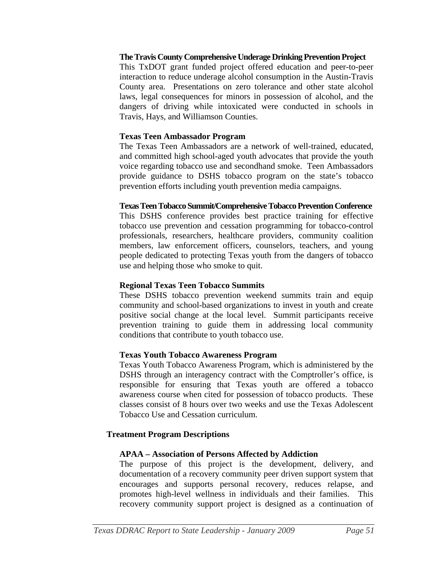#### **The Travis County Comprehensive Underage Drinking Prevention Project**

This TxDOT grant funded project offered education and peer-to-peer interaction to reduce underage alcohol consumption in the Austin-Travis County area. Presentations on zero tolerance and other state alcohol laws, legal consequences for minors in possession of alcohol, and the dangers of driving while intoxicated were conducted in schools in Travis, Hays, and Williamson Counties.

#### **Texas Teen Ambassador Program**

The Texas Teen Ambassadors are a network of well-trained, educated, and committed high school-aged youth advocates that provide the youth voice regarding tobacco use and secondhand smoke. Teen Ambassadors provide guidance to DSHS tobacco program on the state's tobacco prevention efforts including youth prevention media campaigns.

#### **Texas Teen Tobacco Summit/Comprehensive Tobacco Prevention Conference**

This DSHS conference provides best practice training for effective tobacco use prevention and cessation programming for tobacco-control professionals, researchers, healthcare providers, community coalition members, law enforcement officers, counselors, teachers, and young people dedicated to protecting Texas youth from the dangers of tobacco use and helping those who smoke to quit.

#### **Regional Texas Teen Tobacco Summits**

These DSHS tobacco prevention weekend summits train and equip community and school-based organizations to invest in youth and create positive social change at the local level. Summit participants receive prevention training to guide them in addressing local community conditions that contribute to youth tobacco use.

#### **Texas Youth Tobacco Awareness Program**

Texas Youth Tobacco Awareness Program, which is administered by the DSHS through an interagency contract with the Comptroller's office, is responsible for ensuring that Texas youth are offered a tobacco awareness course when cited for possession of tobacco products. These classes consist of 8 hours over two weeks and use the Texas Adolescent Tobacco Use and Cessation curriculum.

#### **Treatment Program Descriptions**

#### **APAA – Association of Persons Affected by Addiction**

The purpose of this project is the development, delivery, and documentation of a recovery community peer driven support system that encourages and supports personal recovery, reduces relapse, and promotes high-level wellness in individuals and their families. This recovery community support project is designed as a continuation of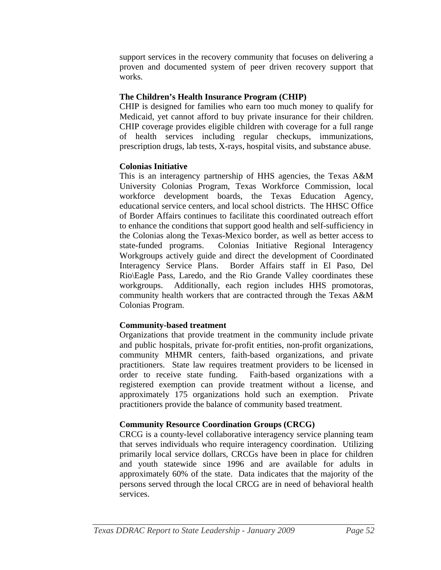support services in the recovery community that focuses on delivering a proven and documented system of peer driven recovery support that works.

# **The Children's Health Insurance Program (CHIP)**

CHIP is designed for families who earn too much money to qualify for Medicaid, yet cannot afford to buy private insurance for their children. CHIP coverage provides eligible children with coverage for a full range of health services including regular checkups, immunizations, prescription drugs, lab tests, X-rays, hospital visits, and substance abuse.

# **Colonias Initiative**

This is an interagency partnership of HHS agencies, the Texas A&M University Colonias Program, Texas Workforce Commission, local workforce development boards, the Texas Education Agency, educational service centers, and local school districts. The HHSC Office of Border Affairs continues to facilitate this coordinated outreach effort to enhance the conditions that support good health and self-sufficiency in the Colonias along the Texas-Mexico border, as well as better access to state-funded programs. Colonias Initiative Regional Interagency Workgroups actively guide and direct the development of Coordinated Interagency Service Plans. Border Affairs staff in El Paso, Del Rio\Eagle Pass, Laredo, and the Rio Grande Valley coordinates these workgroups. Additionally, each region includes HHS promotoras, community health workers that are contracted through the Texas A&M Colonias Program.

# **Community-based treatment**

Organizations that provide treatment in the community include private and public hospitals, private for-profit entities, non-profit organizations, community MHMR centers, faith-based organizations, and private practitioners. State law requires treatment providers to be licensed in order to receive state funding. Faith-based organizations with a registered exemption can provide treatment without a license, and approximately 175 organizations hold such an exemption. Private practitioners provide the balance of community based treatment.

# **Community Resource Coordination Groups (CRCG)**

CRCG is a county-level collaborative interagency service planning team that serves individuals who require interagency coordination. Utilizing primarily local service dollars, CRCGs have been in place for children and youth statewide since 1996 and are available for adults in approximately 60% of the state. Data indicates that the majority of the persons served through the local CRCG are in need of behavioral health services.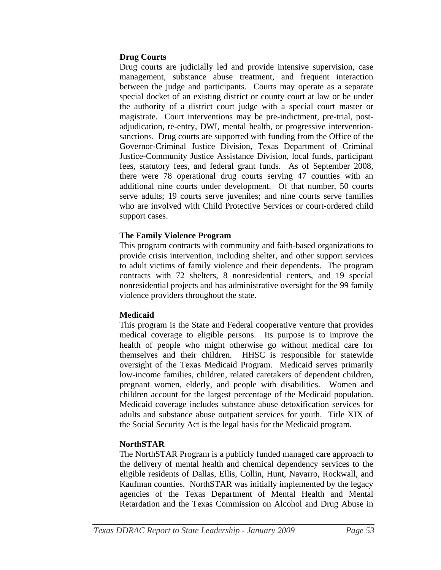#### **Drug Courts**

Drug courts are judicially led and provide intensive supervision, case management, substance abuse treatment, and frequent interaction between the judge and participants. Courts may operate as a separate special docket of an existing district or county court at law or be under the authority of a district court judge with a special court master or magistrate. Court interventions may be pre-indictment, pre-trial, postadjudication, re-entry, DWI, mental health, or progressive interventionsanctions. Drug courts are supported with funding from the Office of the Governor-Criminal Justice Division, Texas Department of Criminal Justice-Community Justice Assistance Division, local funds, participant fees, statutory fees, and federal grant funds. As of September 2008, there were 78 operational drug courts serving 47 counties with an additional nine courts under development. Of that number, 50 courts serve adults; 19 courts serve juveniles; and nine courts serve families who are involved with Child Protective Services or court-ordered child support cases.

# **The Family Violence Program**

This program contracts with community and faith-based organizations to provide crisis intervention, including shelter, and other support services to adult victims of family violence and their dependents. The program contracts with 72 shelters, 8 nonresidential centers, and 19 special nonresidential projects and has administrative oversight for the 99 family violence providers throughout the state.

#### **Medicaid**

This program is the State and Federal cooperative venture that provides medical coverage to eligible persons. Its purpose is to improve the health of people who might otherwise go without medical care for themselves and their children. HHSC is responsible for statewide oversight of the Texas Medicaid Program. Medicaid serves primarily low-income families, children, related caretakers of dependent children, pregnant women, elderly, and people with disabilities. Women and children account for the largest percentage of the Medicaid population. Medicaid coverage includes substance abuse detoxification services for adults and substance abuse outpatient services for youth. Title XIX of the Social Security Act is the legal basis for the Medicaid program.

# **NorthSTAR**

The NorthSTAR Program is a publicly funded managed care approach to the delivery of mental health and chemical dependency services to the eligible residents of Dallas, Ellis, Collin, Hunt, Navarro, Rockwall, and Kaufman counties. NorthSTAR was initially implemented by the legacy agencies of the Texas Department of Mental Health and Mental Retardation and the Texas Commission on Alcohol and Drug Abuse in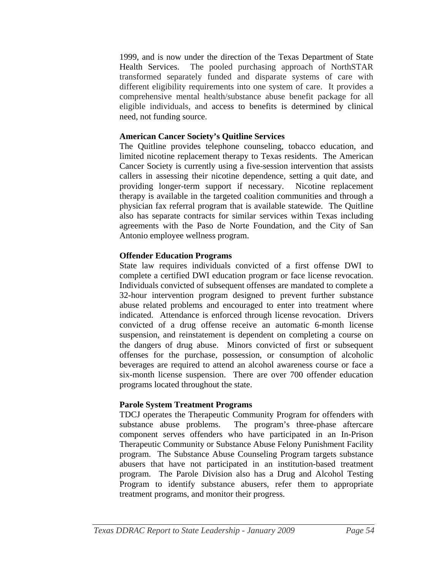1999, and is now under the direction of the Texas Department of State Health Services. The pooled purchasing approach of NorthSTAR transformed separately funded and disparate systems of care with different eligibility requirements into one system of care. It provides a comprehensive mental health/substance abuse benefit package for all eligible individuals, and access to benefits is determined by clinical need, not funding source.

#### **American Cancer Society's Quitline Services**

The Quitline provides telephone counseling, tobacco education, and limited nicotine replacement therapy to Texas residents. The American Cancer Society is currently using a five-session intervention that assists callers in assessing their nicotine dependence, setting a quit date, and providing longer-term support if necessary. Nicotine replacement therapy is available in the targeted coalition communities and through a physician fax referral program that is available statewide. The Quitline also has separate contracts for similar services within Texas including agreements with the Paso de Norte Foundation, and the City of San Antonio employee wellness program.

# **Offender Education Programs**

State law requires individuals convicted of a first offense DWI to complete a certified DWI education program or face license revocation. Individuals convicted of subsequent offenses are mandated to complete a 32-hour intervention program designed to prevent further substance abuse related problems and encouraged to enter into treatment where indicated. Attendance is enforced through license revocation. Drivers convicted of a drug offense receive an automatic 6-month license suspension, and reinstatement is dependent on completing a course on the dangers of drug abuse. Minors convicted of first or subsequent offenses for the purchase, possession, or consumption of alcoholic beverages are required to attend an alcohol awareness course or face a six-month license suspension. There are over 700 offender education programs located throughout the state.

# **Parole System Treatment Programs**

TDCJ operates the Therapeutic Community Program for offenders with substance abuse problems. The program's three-phase aftercare component serves offenders who have participated in an In-Prison Therapeutic Community or Substance Abuse Felony Punishment Facility program. The Substance Abuse Counseling Program targets substance abusers that have not participated in an institution-based treatment program. The Parole Division also has a Drug and Alcohol Testing Program to identify substance abusers, refer them to appropriate treatment programs, and monitor their progress.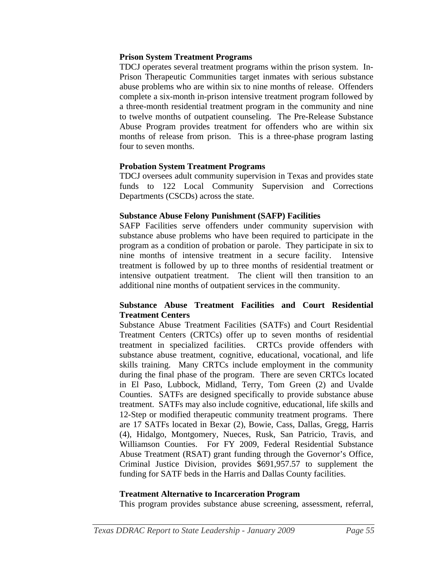#### **Prison System Treatment Programs**

TDCJ operates several treatment programs within the prison system. In-Prison Therapeutic Communities target inmates with serious substance abuse problems who are within six to nine months of release. Offenders complete a six-month in-prison intensive treatment program followed by a three-month residential treatment program in the community and nine to twelve months of outpatient counseling. The Pre-Release Substance Abuse Program provides treatment for offenders who are within six months of release from prison. This is a three-phase program lasting four to seven months.

#### **Probation System Treatment Programs**

TDCJ oversees adult community supervision in Texas and provides state funds to 122 Local Community Supervision and Corrections Departments (CSCDs) across the state.

#### **Substance Abuse Felony Punishment (SAFP) Facilities**

SAFP Facilities serve offenders under community supervision with substance abuse problems who have been required to participate in the program as a condition of probation or parole. They participate in six to nine months of intensive treatment in a secure facility. Intensive treatment is followed by up to three months of residential treatment or intensive outpatient treatment. The client will then transition to an additional nine months of outpatient services in the community.

#### **Substance Abuse Treatment Facilities and Court Residential Treatment Centers**

Substance Abuse Treatment Facilities (SATFs) and Court Residential Treatment Centers (CRTCs) offer up to seven months of residential treatment in specialized facilities. CRTCs provide offenders with substance abuse treatment, cognitive, educational, vocational, and life skills training. Many CRTCs include employment in the community during the final phase of the program. There are seven CRTCs located in El Paso, Lubbock, Midland, Terry, Tom Green (2) and Uvalde Counties. SATFs are designed specifically to provide substance abuse treatment. SATFs may also include cognitive, educational, life skills and 12-Step or modified therapeutic community treatment programs. There are 17 SATFs located in Bexar (2), Bowie, Cass, Dallas, Gregg, Harris (4), Hidalgo, Montgomery, Nueces, Rusk, San Patricio, Travis, and Williamson Counties. For FY 2009, Federal Residential Substance Abuse Treatment (RSAT) grant funding through the Governor's Office, Criminal Justice Division, provides \$691,957.57 to supplement the funding for SATF beds in the Harris and Dallas County facilities.

#### **Treatment Alternative to Incarceration Program**

This program provides substance abuse screening, assessment, referral,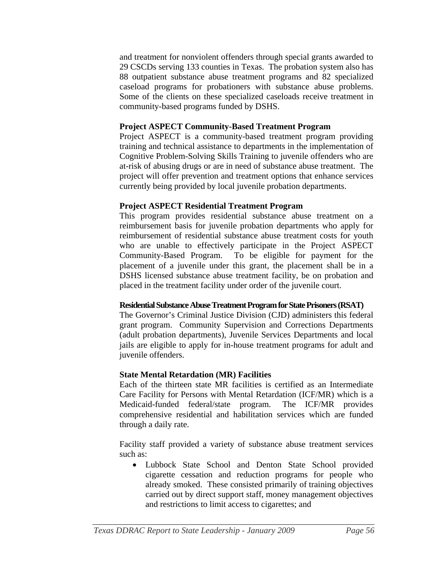and treatment for nonviolent offenders through special grants awarded to 29 CSCDs serving 133 counties in Texas. The probation system also has 88 outpatient substance abuse treatment programs and 82 specialized caseload programs for probationers with substance abuse problems. Some of the clients on these specialized caseloads receive treatment in community-based programs funded by DSHS.

#### **Project ASPECT Community-Based Treatment Program**

Project ASPECT is a community-based treatment program providing training and technical assistance to departments in the implementation of Cognitive Problem-Solving Skills Training to juvenile offenders who are at-risk of abusing drugs or are in need of substance abuse treatment. The project will offer prevention and treatment options that enhance services currently being provided by local juvenile probation departments.

# **Project ASPECT Residential Treatment Program**

This program provides residential substance abuse treatment on a reimbursement basis for juvenile probation departments who apply for reimbursement of residential substance abuse treatment costs for youth who are unable to effectively participate in the Project ASPECT Community-Based Program. To be eligible for payment for the placement of a juvenile under this grant, the placement shall be in a DSHS licensed substance abuse treatment facility, be on probation and placed in the treatment facility under order of the juvenile court.

# **Residential Substance Abuse Treatment Program for State Prisoners (RSAT)**

The Governor's Criminal Justice Division (CJD) administers this federal grant program. Community Supervision and Corrections Departments (adult probation departments), Juvenile Services Departments and local jails are eligible to apply for in-house treatment programs for adult and juvenile offenders.

# **State Mental Retardation (MR) Facilities**

Each of the thirteen state MR facilities is certified as an Intermediate Care Facility for Persons with Mental Retardation (ICF/MR) which is a Medicaid-funded federal/state program. The ICF/MR provides comprehensive residential and habilitation services which are funded through a daily rate.

Facility staff provided a variety of substance abuse treatment services such as:

• Lubbock State School and Denton State School provided cigarette cessation and reduction programs for people who already smoked. These consisted primarily of training objectives carried out by direct support staff, money management objectives and restrictions to limit access to cigarettes; and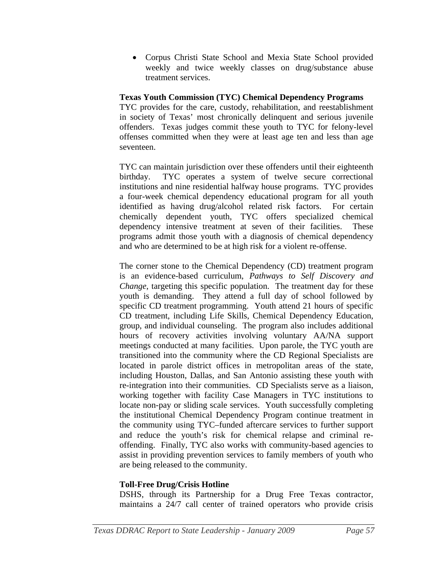• Corpus Christi State School and Mexia State School provided weekly and twice weekly classes on drug/substance abuse treatment services.

#### **Texas Youth Commission (TYC) Chemical Dependency Programs**

TYC provides for the care, custody, rehabilitation, and reestablishment in society of Texas' most chronically delinquent and serious juvenile offenders. Texas judges commit these youth to TYC for felony-level offenses committed when they were at least age ten and less than age seventeen.

TYC can maintain jurisdiction over these offenders until their eighteenth birthday. TYC operates a system of twelve secure correctional institutions and nine residential halfway house programs. TYC provides a four-week chemical dependency educational program for all youth identified as having drug/alcohol related risk factors. For certain chemically dependent youth, TYC offers specialized chemical dependency intensive treatment at seven of their facilities. These programs admit those youth with a diagnosis of chemical dependency and who are determined to be at high risk for a violent re-offense.

The corner stone to the Chemical Dependency (CD) treatment program is an evidence-based curriculum, *Pathways to Self Discovery and Change*, targeting this specific population. The treatment day for these youth is demanding. They attend a full day of school followed by specific CD treatment programming. Youth attend 21 hours of specific CD treatment, including Life Skills, Chemical Dependency Education, group, and individual counseling. The program also includes additional hours of recovery activities involving voluntary AA/NA support meetings conducted at many facilities. Upon parole, the TYC youth are transitioned into the community where the CD Regional Specialists are located in parole district offices in metropolitan areas of the state, including Houston, Dallas, and San Antonio assisting these youth with re-integration into their communities. CD Specialists serve as a liaison, working together with facility Case Managers in TYC institutions to locate non-pay or sliding scale services. Youth successfully completing the institutional Chemical Dependency Program continue treatment in the community using TYC–funded aftercare services to further support and reduce the youth's risk for chemical relapse and criminal reoffending. Finally, TYC also works with community-based agencies to assist in providing prevention services to family members of youth who are being released to the community.

# **Toll-Free Drug/Crisis Hotline**

DSHS, through its Partnership for a Drug Free Texas contractor, maintains a 24/7 call center of trained operators who provide crisis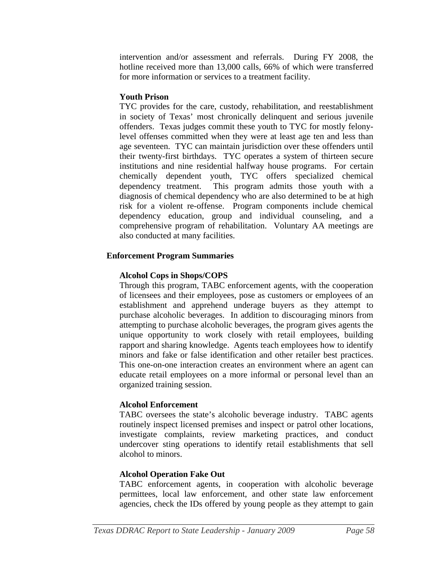intervention and/or assessment and referrals. During FY 2008, the hotline received more than 13,000 calls, 66% of which were transferred for more information or services to a treatment facility.

#### **Youth Prison**

TYC provides for the care, custody, rehabilitation, and reestablishment in society of Texas' most chronically delinquent and serious juvenile offenders. Texas judges commit these youth to TYC for mostly felonylevel offenses committed when they were at least age ten and less than age seventeen. TYC can maintain jurisdiction over these offenders until their twenty-first birthdays. TYC operates a system of thirteen secure institutions and nine residential halfway house programs. For certain chemically dependent youth, TYC offers specialized chemical dependency treatment. This program admits those youth with a diagnosis of chemical dependency who are also determined to be at high risk for a violent re-offense. Program components include chemical dependency education, group and individual counseling, and a comprehensive program of rehabilitation. Voluntary AA meetings are also conducted at many facilities.

# **Enforcement Program Summaries**

# **Alcohol Cops in Shops/COPS**

Through this program, TABC enforcement agents, with the cooperation of licensees and their employees, pose as customers or employees of an establishment and apprehend underage buyers as they attempt to purchase alcoholic beverages. In addition to discouraging minors from attempting to purchase alcoholic beverages, the program gives agents the unique opportunity to work closely with retail employees, building rapport and sharing knowledge. Agents teach employees how to identify minors and fake or false identification and other retailer best practices. This one-on-one interaction creates an environment where an agent can educate retail employees on a more informal or personal level than an organized training session.

#### **Alcohol Enforcement**

TABC oversees the state's alcoholic beverage industry. TABC agents routinely inspect licensed premises and inspect or patrol other locations, investigate complaints, review marketing practices, and conduct undercover sting operations to identify retail establishments that sell alcohol to minors.

# **Alcohol Operation Fake Out**

TABC enforcement agents, in cooperation with alcoholic beverage permittees, local law enforcement, and other state law enforcement agencies, check the IDs offered by young people as they attempt to gain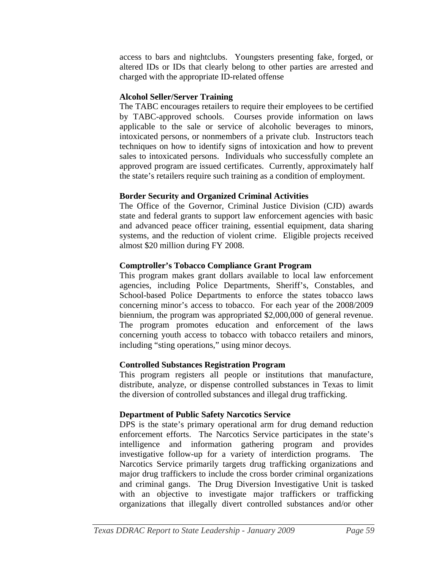access to bars and nightclubs. Youngsters presenting fake, forged, or altered IDs or IDs that clearly belong to other parties are arrested and charged with the appropriate ID-related offense

#### **Alcohol Seller/Server Training**

The TABC encourages retailers to require their employees to be certified by TABC-approved schools. Courses provide information on laws applicable to the sale or service of alcoholic beverages to minors, intoxicated persons, or nonmembers of a private club. Instructors teach techniques on how to identify signs of intoxication and how to prevent sales to intoxicated persons. Individuals who successfully complete an approved program are issued certificates. Currently, approximately half the state's retailers require such training as a condition of employment.

# **Border Security and Organized Criminal Activities**

The Office of the Governor, Criminal Justice Division (CJD) awards state and federal grants to support law enforcement agencies with basic and advanced peace officer training, essential equipment, data sharing systems, and the reduction of violent crime. Eligible projects received almost \$20 million during FY 2008.

# **Comptroller's Tobacco Compliance Grant Program**

This program makes grant dollars available to local law enforcement agencies, including Police Departments, Sheriff's, Constables, and School-based Police Departments to enforce the states tobacco laws concerning minor's access to tobacco. For each year of the 2008/2009 biennium, the program was appropriated \$2,000,000 of general revenue. The program promotes education and enforcement of the laws concerning youth access to tobacco with tobacco retailers and minors, including "sting operations," using minor decoys.

# **Controlled Substances Registration Program**

This program registers all people or institutions that manufacture, distribute, analyze, or dispense controlled substances in Texas to limit the diversion of controlled substances and illegal drug trafficking.

# **Department of Public Safety Narcotics Service**

DPS is the state's primary operational arm for drug demand reduction enforcement efforts. The Narcotics Service participates in the state's intelligence and information gathering program and provides investigative follow-up for a variety of interdiction programs. The Narcotics Service primarily targets drug trafficking organizations and major drug traffickers to include the cross border criminal organizations and criminal gangs. The Drug Diversion Investigative Unit is tasked with an objective to investigate major traffickers or trafficking organizations that illegally divert controlled substances and/or other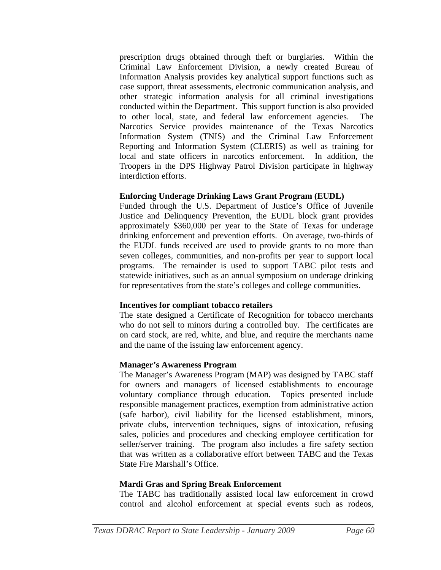prescription drugs obtained through theft or burglaries. Within the Criminal Law Enforcement Division, a newly created Bureau of Information Analysis provides key analytical support functions such as case support, threat assessments, electronic communication analysis, and other strategic information analysis for all criminal investigations conducted within the Department. This support function is also provided to other local, state, and federal law enforcement agencies. The Narcotics Service provides maintenance of the Texas Narcotics Information System (TNIS) and the Criminal Law Enforcement Reporting and Information System (CLERIS) as well as training for local and state officers in narcotics enforcement. In addition, the Troopers in the DPS Highway Patrol Division participate in highway interdiction efforts.

#### **Enforcing Underage Drinking Laws Grant Program (EUDL)**

Funded through the U.S. Department of Justice's Office of Juvenile Justice and Delinquency Prevention, the EUDL block grant provides approximately \$360,000 per year to the State of Texas for underage drinking enforcement and prevention efforts. On average, two-thirds of the EUDL funds received are used to provide grants to no more than seven colleges, communities, and non-profits per year to support local programs. The remainder is used to support TABC pilot tests and statewide initiatives, such as an annual symposium on underage drinking for representatives from the state's colleges and college communities.

#### **Incentives for compliant tobacco retailers**

The state designed a Certificate of Recognition for tobacco merchants who do not sell to minors during a controlled buy. The certificates are on card stock, are red, white, and blue, and require the merchants name and the name of the issuing law enforcement agency.

#### **Manager's Awareness Program**

The Manager's Awareness Program (MAP) was designed by TABC staff for owners and managers of licensed establishments to encourage voluntary compliance through education. Topics presented include responsible management practices, exemption from administrative action (safe harbor), civil liability for the licensed establishment, minors, private clubs, intervention techniques, signs of intoxication, refusing sales, policies and procedures and checking employee certification for seller/server training. The program also includes a fire safety section that was written as a collaborative effort between TABC and the Texas State Fire Marshall's Office.

#### **Mardi Gras and Spring Break Enforcement**

The TABC has traditionally assisted local law enforcement in crowd control and alcohol enforcement at special events such as rodeos,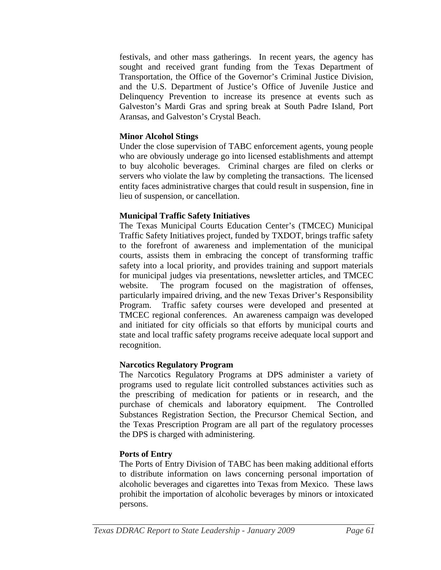festivals, and other mass gatherings. In recent years, the agency has sought and received grant funding from the Texas Department of Transportation, the Office of the Governor's Criminal Justice Division, and the U.S. Department of Justice's Office of Juvenile Justice and Delinquency Prevention to increase its presence at events such as Galveston's Mardi Gras and spring break at South Padre Island, Port Aransas, and Galveston's Crystal Beach.

#### **Minor Alcohol Stings**

Under the close supervision of TABC enforcement agents, young people who are obviously underage go into licensed establishments and attempt to buy alcoholic beverages. Criminal charges are filed on clerks or servers who violate the law by completing the transactions. The licensed entity faces administrative charges that could result in suspension, fine in lieu of suspension, or cancellation.

# **Municipal Traffic Safety Initiatives**

The Texas Municipal Courts Education Center's (TMCEC) Municipal Traffic Safety Initiatives project, funded by TXDOT, brings traffic safety to the forefront of awareness and implementation of the municipal courts, assists them in embracing the concept of transforming traffic safety into a local priority, and provides training and support materials for municipal judges via presentations, newsletter articles, and TMCEC website. The program focused on the magistration of offenses, particularly impaired driving, and the new Texas Driver's Responsibility Program. Traffic safety courses were developed and presented at TMCEC regional conferences. An awareness campaign was developed and initiated for city officials so that efforts by municipal courts and state and local traffic safety programs receive adequate local support and recognition.

# **Narcotics Regulatory Program**

The Narcotics Regulatory Programs at DPS administer a variety of programs used to regulate licit controlled substances activities such as the prescribing of medication for patients or in research, and the purchase of chemicals and laboratory equipment. The Controlled Substances Registration Section, the Precursor Chemical Section, and the Texas Prescription Program are all part of the regulatory processes the DPS is charged with administering.

#### **Ports of Entry**

The Ports of Entry Division of TABC has been making additional efforts to distribute information on laws concerning personal importation of alcoholic beverages and cigarettes into Texas from Mexico. These laws prohibit the importation of alcoholic beverages by minors or intoxicated persons.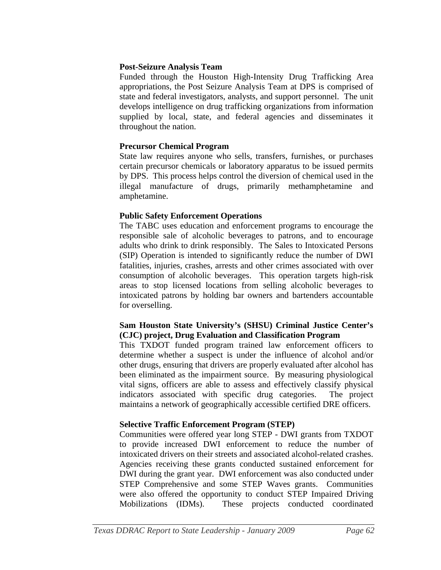#### **Post-Seizure Analysis Team**

Funded through the Houston High-Intensity Drug Trafficking Area appropriations, the Post Seizure Analysis Team at DPS is comprised of state and federal investigators, analysts, and support personnel. The unit develops intelligence on drug trafficking organizations from information supplied by local, state, and federal agencies and disseminates it throughout the nation.

#### **Precursor Chemical Program**

State law requires anyone who sells, transfers, furnishes, or purchases certain precursor chemicals or laboratory apparatus to be issued permits by DPS. This process helps control the diversion of chemical used in the illegal manufacture of drugs, primarily methamphetamine and amphetamine.

# **Public Safety Enforcement Operations**

The TABC uses education and enforcement programs to encourage the responsible sale of alcoholic beverages to patrons, and to encourage adults who drink to drink responsibly. The Sales to Intoxicated Persons (SIP) Operation is intended to significantly reduce the number of DWI fatalities, injuries, crashes, arrests and other crimes associated with over consumption of alcoholic beverages. This operation targets high-risk areas to stop licensed locations from selling alcoholic beverages to intoxicated patrons by holding bar owners and bartenders accountable for overselling.

#### **Sam Houston State University's (SHSU) Criminal Justice Center's (CJC) project, Drug Evaluation and Classification Program**

This TXDOT funded program trained law enforcement officers to determine whether a suspect is under the influence of alcohol and/or other drugs, ensuring that drivers are properly evaluated after alcohol has been eliminated as the impairment source. By measuring physiological vital signs, officers are able to assess and effectively classify physical indicators associated with specific drug categories. The project maintains a network of geographically accessible certified DRE officers.

#### **Selective Traffic Enforcement Program (STEP)**

Communities were offered year long STEP - DWI grants from TXDOT to provide increased DWI enforcement to reduce the number of intoxicated drivers on their streets and associated alcohol-related crashes. Agencies receiving these grants conducted sustained enforcement for DWI during the grant year. DWI enforcement was also conducted under STEP Comprehensive and some STEP Waves grants. Communities were also offered the opportunity to conduct STEP Impaired Driving Mobilizations (IDMs). These projects conducted coordinated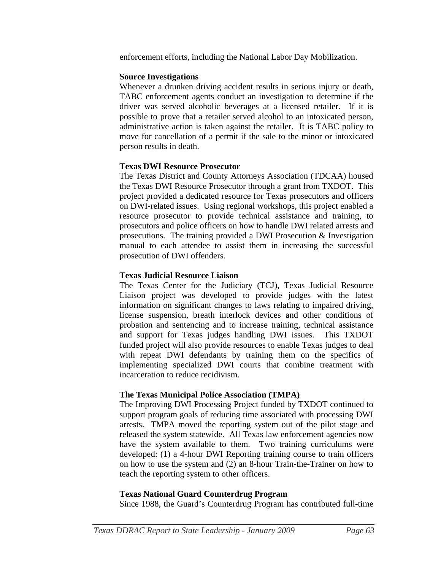enforcement efforts, including the National Labor Day Mobilization.

#### **Source Investigations**

Whenever a drunken driving accident results in serious injury or death, TABC enforcement agents conduct an investigation to determine if the driver was served alcoholic beverages at a licensed retailer. If it is possible to prove that a retailer served alcohol to an intoxicated person, administrative action is taken against the retailer. It is TABC policy to move for cancellation of a permit if the sale to the minor or intoxicated person results in death.

#### **Texas DWI Resource Prosecutor**

The Texas District and County Attorneys Association (TDCAA) housed the Texas DWI Resource Prosecutor through a grant from TXDOT. This project provided a dedicated resource for Texas prosecutors and officers on DWI-related issues. Using regional workshops, this project enabled a resource prosecutor to provide technical assistance and training, to prosecutors and police officers on how to handle DWI related arrests and prosecutions. The training provided a DWI Prosecution & Investigation manual to each attendee to assist them in increasing the successful prosecution of DWI offenders.

# **Texas Judicial Resource Liaison**

The Texas Center for the Judiciary (TCJ), Texas Judicial Resource Liaison project was developed to provide judges with the latest information on significant changes to laws relating to impaired driving, license suspension, breath interlock devices and other conditions of probation and sentencing and to increase training, technical assistance and support for Texas judges handling DWI issues. This TXDOT funded project will also provide resources to enable Texas judges to deal with repeat DWI defendants by training them on the specifics of implementing specialized DWI courts that combine treatment with incarceration to reduce recidivism.

#### **The Texas Municipal Police Association (TMPA)**

The Improving DWI Processing Project funded by TXDOT continued to support program goals of reducing time associated with processing DWI arrests. TMPA moved the reporting system out of the pilot stage and released the system statewide. All Texas law enforcement agencies now have the system available to them. Two training curriculums were developed: (1) a 4-hour DWI Reporting training course to train officers on how to use the system and (2) an 8-hour Train-the-Trainer on how to teach the reporting system to other officers.

# **Texas National Guard Counterdrug Program**

Since 1988, the Guard's Counterdrug Program has contributed full-time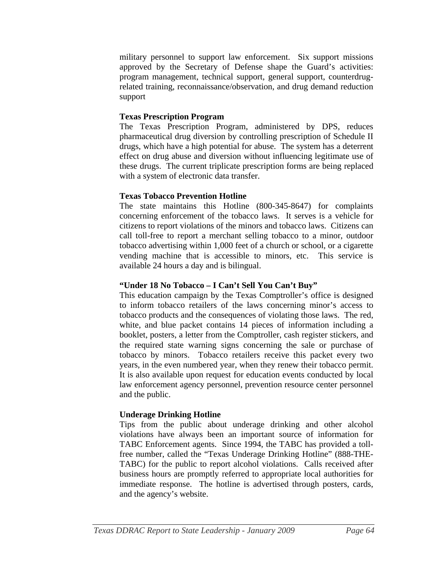military personnel to support law enforcement. Six support missions approved by the Secretary of Defense shape the Guard's activities: program management, technical support, general support, counterdrugrelated training, reconnaissance/observation, and drug demand reduction support

# **Texas Prescription Program**

The Texas Prescription Program, administered by DPS, reduces pharmaceutical drug diversion by controlling prescription of Schedule II drugs, which have a high potential for abuse. The system has a deterrent effect on drug abuse and diversion without influencing legitimate use of these drugs. The current triplicate prescription forms are being replaced with a system of electronic data transfer.

# **Texas Tobacco Prevention Hotline**

The state maintains this Hotline (800-345-8647) for complaints concerning enforcement of the tobacco laws. It serves is a vehicle for citizens to report violations of the minors and tobacco laws. Citizens can call toll-free to report a merchant selling tobacco to a minor, outdoor tobacco advertising within 1,000 feet of a church or school, or a cigarette vending machine that is accessible to minors, etc. This service is available 24 hours a day and is bilingual.

#### **"Under 18 No Tobacco – I Can't Sell You Can't Buy"**

This education campaign by the Texas Comptroller's office is designed to inform tobacco retailers of the laws concerning minor's access to tobacco products and the consequences of violating those laws. The red, white, and blue packet contains 14 pieces of information including a booklet, posters, a letter from the Comptroller, cash register stickers, and the required state warning signs concerning the sale or purchase of tobacco by minors. Tobacco retailers receive this packet every two years, in the even numbered year, when they renew their tobacco permit. It is also available upon request for education events conducted by local law enforcement agency personnel, prevention resource center personnel and the public.

# **Underage Drinking Hotline**

Tips from the public about underage drinking and other alcohol violations have always been an important source of information for TABC Enforcement agents. Since 1994, the TABC has provided a tollfree number, called the "Texas Underage Drinking Hotline" (888-THE-TABC) for the public to report alcohol violations. Calls received after business hours are promptly referred to appropriate local authorities for immediate response. The hotline is advertised through posters, cards, and the agency's website.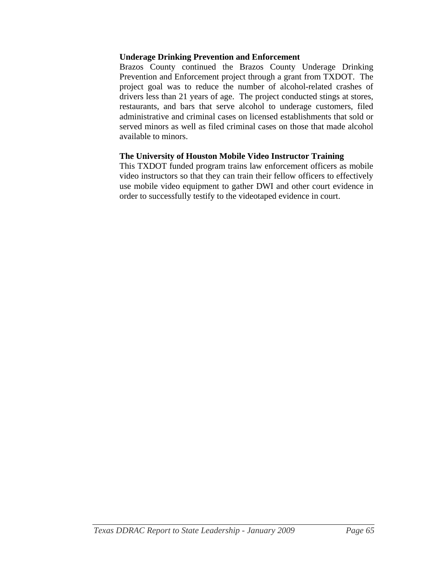#### **Underage Drinking Prevention and Enforcement**

Brazos County continued the Brazos County Underage Drinking Prevention and Enforcement project through a grant from TXDOT. The project goal was to reduce the number of alcohol-related crashes of drivers less than 21 years of age. The project conducted stings at stores, restaurants, and bars that serve alcohol to underage customers, filed administrative and criminal cases on licensed establishments that sold or served minors as well as filed criminal cases on those that made alcohol available to minors.

#### **The University of Houston Mobile Video Instructor Training**

This TXDOT funded program trains law enforcement officers as mobile video instructors so that they can train their fellow officers to effectively use mobile video equipment to gather DWI and other court evidence in order to successfully testify to the videotaped evidence in court.